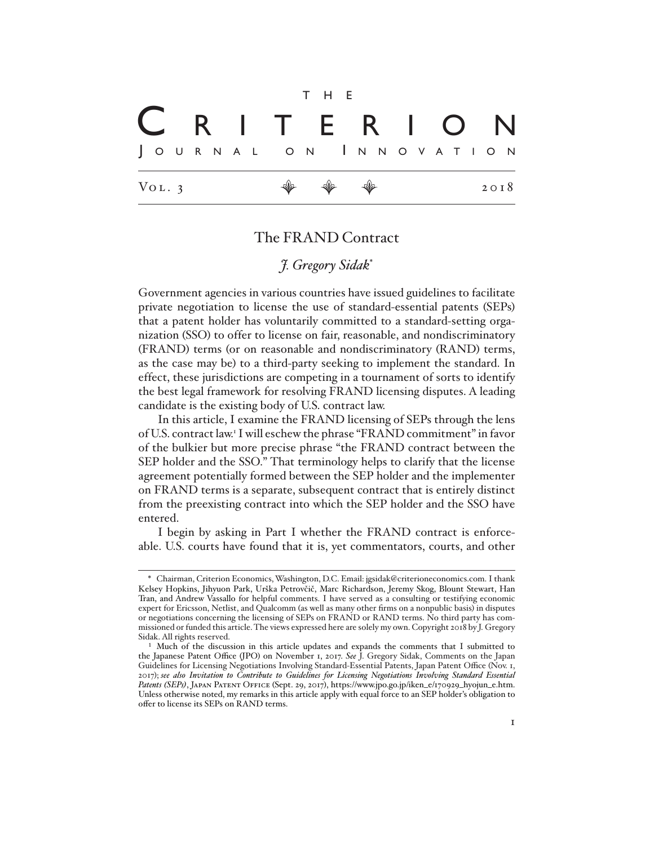

# The FRAND Contract

# *J. Gregory Sidak*\*

Government agencies in various countries have issued guidelines to facilitate private negotiation to license the use of standard-essential patents (SEPs) that a patent holder has voluntarily committed to a standard-setting organization (SSO) to offer to license on fair, reasonable, and nondiscriminatory (FRAND) terms (or on reasonable and nondiscriminatory (RAND) terms, as the case may be) to a third-party seeking to implement the standard. In effect, these jurisdictions are competing in a tournament of sorts to identify the best legal framework for resolving FRAND licensing disputes. A leading candidate is the existing body of U.S. contract law.

In this article, I examine the FRAND licensing of SEPs through the lens of U.S. contract law.<sup>1</sup> I will eschew the phrase "FRAND commitment" in favor of the bulkier but more precise phrase "the FRAND contract between the SEP holder and the SSO." That terminology helps to clarify that the license agreement potentially formed between the SEP holder and the implementer on FRAND terms is a separate, subsequent contract that is entirely distinct from the preexisting contract into which the SEP holder and the SSO have entered.

I begin by asking in Part I whether the FRAND contract is enforceable. U.S. courts have found that it is, yet commentators, courts, and other

<sup>\*</sup> Chairman, Criterion Economics, Washington, D.C. Email: jgsidak@criterioneconomics.com. I thank Kelsey Hopkins, Jihyuon Park, Urška Petrovčič, Marc Richardson, Jeremy Skog, Blount Stewart, Han Tran, and Andrew Vassallo for helpful comments. I have served as a consulting or testifying economic expert for Ericsson, Netlist, and Qualcomm (as well as many other firms on a nonpublic basis) in disputes or negotiations concerning the licensing of SEPs on FRAND or RAND terms. No third party has commissioned or funded this article. The views expressed here are solely my own. Copyright 2018 by J. Gregory Sidak. All rights reserved.

<sup>&</sup>lt;sup>1</sup> Much of the discussion in this article updates and expands the comments that I submitted to the Japanese Patent Office (JPO) on November 1, 2017. *See* J. Gregory Sidak, Comments on the Japan Guidelines for Licensing Negotiations Involving Standard-Essential Patents, Japan Patent Office (Nov. 1, 2017); *see also Invitation to Contribute to Guidelines for Licensing Negotiations Involving Standard Essential*  Patents (SEPs), JAPAN PATENT OFFICE (Sept. 29, 2017), https://www.jpo.go.jp/iken\_e/170929\_hyojun\_e.htm. Unless otherwise noted, my remarks in this article apply with equal force to an SEP holder's obligation to offer to license its SEPs on RAND terms.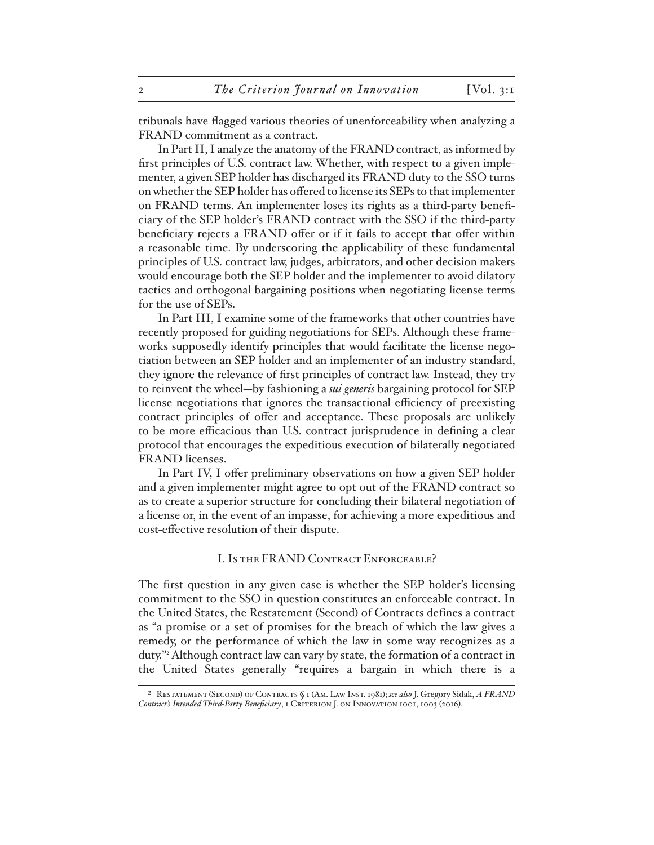tribunals have flagged various theories of unenforceability when analyzing a FRAND commitment as a contract.

In Part II, I analyze the anatomy of the FRAND contract, as informed by first principles of U.S. contract law. Whether, with respect to a given implementer, a given SEP holder has discharged its FRAND duty to the SSO turns on whether the SEP holder has offered to license its SEPs to that implementer on FRAND terms. An implementer loses its rights as a third-party beneficiary of the SEP holder's FRAND contract with the SSO if the third-party beneficiary rejects a FRAND offer or if it fails to accept that offer within a reasonable time. By underscoring the applicability of these fundamental principles of U.S. contract law, judges, arbitrators, and other decision makers would encourage both the SEP holder and the implementer to avoid dilatory tactics and orthogonal bargaining positions when negotiating license terms for the use of SEPs.

In Part III, I examine some of the frameworks that other countries have recently proposed for guiding negotiations for SEPs. Although these frameworks supposedly identify principles that would facilitate the license negotiation between an SEP holder and an implementer of an industry standard, they ignore the relevance of first principles of contract law. Instead, they try to reinvent the wheel—by fashioning a *sui generis* bargaining protocol for SEP license negotiations that ignores the transactional efficiency of preexisting contract principles of offer and acceptance. These proposals are unlikely to be more efficacious than U.S. contract jurisprudence in defining a clear protocol that encourages the expeditious execution of bilaterally negotiated FRAND licenses.

In Part IV, I offer preliminary observations on how a given SEP holder and a given implementer might agree to opt out of the FRAND contract so as to create a superior structure for concluding their bilateral negotiation of a license or, in the event of an impasse, for achieving a more expeditious and cost-effective resolution of their dispute.

#### I. Is the FRAND Contract Enforceable?

The first question in any given case is whether the SEP holder's licensing commitment to the SSO in question constitutes an enforceable contract. In the United States, the Restatement (Second) of Contracts defines a contract as "a promise or a set of promises for the breach of which the law gives a remedy, or the performance of which the law in some way recognizes as a duty."2 Although contract law can vary by state, the formation of a contract in the United States generally "requires a bargain in which there is a

<sup>2</sup> Restatement (Second) of Contracts § 1 (Am. Law Inst. 1981); *see also* J. Gregory Sidak, *A FRAND*  Contract's Intended Third-Party Beneficiary, 1 CRITERION J. ON INNOVATION 1001, 1003 (2016).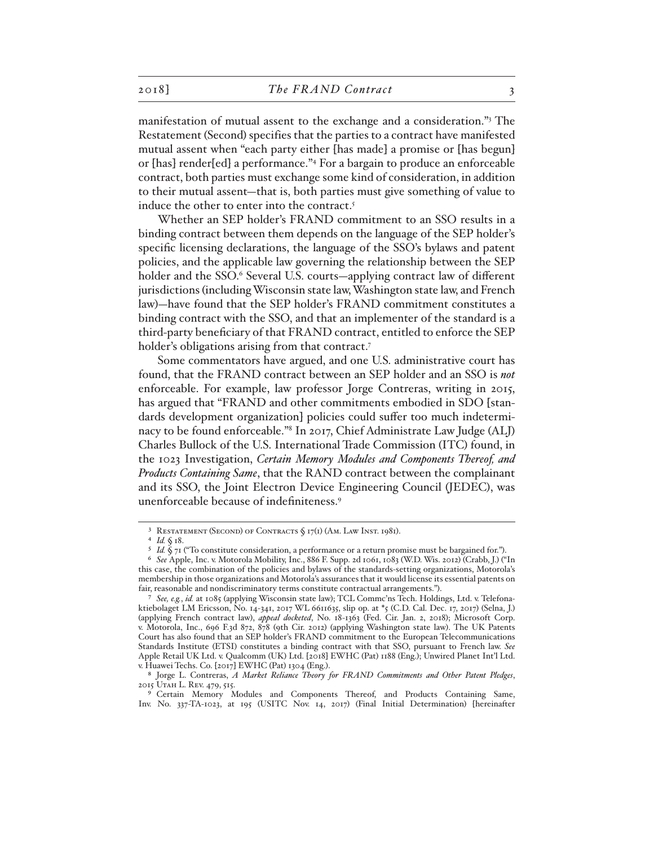manifestation of mutual assent to the exchange and a consideration."3 The Restatement (Second) specifies that the parties to a contract have manifested mutual assent when "each party either [has made] a promise or [has begun] or [has] render[ed] a performance."4 For a bargain to produce an enforceable contract, both parties must exchange some kind of consideration, in addition to their mutual assent—that is, both parties must give something of value to induce the other to enter into the contract.<sup>5</sup>

Whether an SEP holder's FRAND commitment to an SSO results in a binding contract between them depends on the language of the SEP holder's specific licensing declarations, the language of the SSO's bylaws and patent policies, and the applicable law governing the relationship between the SEP holder and the SSO.<sup>6</sup> Several U.S. courts-applying contract law of different jurisdictions (including Wisconsin state law, Washington state law, and French law)—have found that the SEP holder's FRAND commitment constitutes a binding contract with the SSO, and that an implementer of the standard is a third-party beneficiary of that FRAND contract, entitled to enforce the SEP holder's obligations arising from that contract.<sup>7</sup>

Some commentators have argued, and one U.S. administrative court has found, that the FRAND contract between an SEP holder and an SSO is *not* enforceable. For example, law professor Jorge Contreras, writing in 2015, has argued that "FRAND and other commitments embodied in SDO [standards development organization] policies could suffer too much indeterminacy to be found enforceable."8 In 2017, Chief Administrate Law Judge (ALJ) Charles Bullock of the U.S. International Trade Commission (ITC) found, in the 1023 Investigation, *Certain Memory Modules and Components Thereof, and Products Containing Same*, that the RAND contract between the complainant and its SSO, the Joint Electron Device Engineering Council (JEDEC), was unenforceable because of indefiniteness.9

<sup>3</sup> Restatement (Second) of Contracts § 17(1) (Am. Law Inst. 1981).

<sup>4</sup> *Id.* § 18.

<sup>&</sup>lt;sup>5</sup> *Id.*  $\zeta$  71 ("To constitute consideration, a performance or a return promise must be bargained for.").

<sup>6</sup> *See* Apple, Inc. v. Motorola Mobility, Inc., 886 F. Supp. 2d 1061, 1083 (W.D. Wis. 2012) (Crabb, J.) ("In this case, the combination of the policies and bylaws of the standards-setting organizations, Motorola's membership in those organizations and Motorola's assurances that it would license its essential patents on fair, reasonable and nondiscriminatory terms constitute contractual arrangements.").

<sup>7</sup> *See, e.g.*, *id.* at 1085 (applying Wisconsin state law); TCL Commc'ns Tech. Holdings, Ltd. v. Telefonaktiebolaget LM Ericsson, No. 14-341, 2017 WL 6611635, slip op. at \*5 (C.D. Cal. Dec. 17, 2017) (Selna, J.) (applying French contract law), *appeal docketed*, No. 18-1363 (Fed. Cir. Jan. 2, 2018); Microsoft Corp. v. Motorola, Inc., 696 F.3d 872, 878 (9th Cir. 2012) (applying Washington state law). The UK Patents Court has also found that an SEP holder's FRAND commitment to the European Telecommunications Standards Institute (ETSI) constitutes a binding contract with that SSO, pursuant to French law. *See*  Apple Retail UK Ltd. v. Qualcomm (UK) Ltd. [2018] EWHC (Pat) 1188 (Eng.); Unwired Planet Int'l Ltd. v. Huawei Techs. Co. [2017] EWHC (Pat) 1304 (Eng.).

<sup>8</sup> Jorge L. Contreras, *A Market Reliance Theory for FRAND Commitments and Other Patent Pledges*, 2015 UTAH L. REV. 479, 515.

<sup>9</sup> Certain Memory Modules and Components Thereof, and Products Containing Same, Inv. No. 337-TA-1023, at 195 (USITC Nov. 14, 2017) (Final Initial Determination) [hereinafter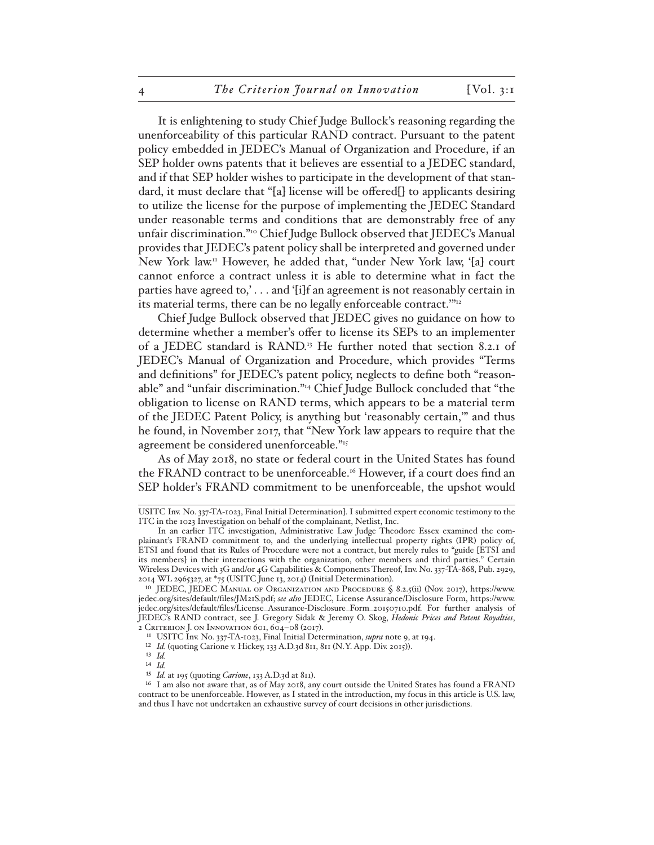It is enlightening to study Chief Judge Bullock's reasoning regarding the unenforceability of this particular RAND contract. Pursuant to the patent policy embedded in JEDEC's Manual of Organization and Procedure, if an SEP holder owns patents that it believes are essential to a JEDEC standard, and if that SEP holder wishes to participate in the development of that standard, it must declare that "[a] license will be offered[] to applicants desiring to utilize the license for the purpose of implementing the JEDEC Standard under reasonable terms and conditions that are demonstrably free of any unfair discrimination."10 Chief Judge Bullock observed that JEDEC's Manual provides that JEDEC's patent policy shall be interpreted and governed under New York law.11 However, he added that, "under New York law, '[a] court cannot enforce a contract unless it is able to determine what in fact the parties have agreed to,' . . . and '[i]f an agreement is not reasonably certain in its material terms, there can be no legally enforceable contract."<sup>12</sup>

Chief Judge Bullock observed that JEDEC gives no guidance on how to determine whether a member's offer to license its SEPs to an implementer of a JEDEC standard is RAND.<sup>13</sup> He further noted that section 8.2.1 of JEDEC's Manual of Organization and Procedure, which provides "Terms and definitions" for JEDEC's patent policy, neglects to define both "reasonable" and "unfair discrimination."14 Chief Judge Bullock concluded that "the obligation to license on RAND terms, which appears to be a material term of the JEDEC Patent Policy, is anything but 'reasonably certain,'" and thus he found, in November 2017, that "New York law appears to require that the agreement be considered unenforceable."15

As of May 2018, no state or federal court in the United States has found the FRAND contract to be unenforceable.<sup>16</sup> However, if a court does find an SEP holder's FRAND commitment to be unenforceable, the upshot would

USITC Inv. No. 337-TA-1023, Final Initial Determination]. I submitted expert economic testimony to the ITC in the 1023 Investigation on behalf of the complainant, Netlist, Inc.

In an earlier ITC investigation, Administrative Law Judge Theodore Essex examined the complainant's FRAND commitment to, and the underlying intellectual property rights (IPR) policy of, ETSI and found that its Rules of Procedure were not a contract, but merely rules to "guide [ETSI and its members] in their interactions with the organization, other members and third parties." Certain Wireless Devices with 3G and/or 4G Capabilities & Components Thereof, Inv. No. 337-TA-868, Pub. 2929, 2014 WL 2965327, at \*75 (USITC June 13, 2014) (Initial Determination).

<sup>10</sup> JEDEC, JEDEC Manual of Organization and Procedure § 8.2.5(ii) (Nov. 2017), https://www. jedec.org/sites/default/files/JM21S.pdf; *see also* JEDEC, License Assurance/Disclosure Form, https://www. jedec.org/sites/default/files/License\_Assurance-Disclosure\_Form\_20150710.pdf. For further analysis of JEDEC's RAND contract, see J. Gregory Sidak & Jeremy O. Skog, *Hedonic Prices and Patent Royalties*, 2 Criterion J. on Innovation 601, 604–08 (2017).

<sup>11</sup> USITC Inv. No. 337-TA-1023, Final Initial Determination, *supra* note 9, at 194.

<sup>&</sup>lt;sup>12</sup> *Id.* (quoting Carione v. Hickey, 133 A.D.3d 811, 811 (N.Y. App. Div. 2015)).

<sup>13</sup> *Id.*

<sup>14</sup> *Id.*

<sup>15</sup> *Id.* at 195 (quoting *Carione*, 133 A.D.3d at 811).

<sup>16</sup> I am also not aware that, as of May 2018, any court outside the United States has found a FRAND contract to be unenforceable. However, as I stated in the introduction, my focus in this article is U.S. law, and thus I have not undertaken an exhaustive survey of court decisions in other jurisdictions.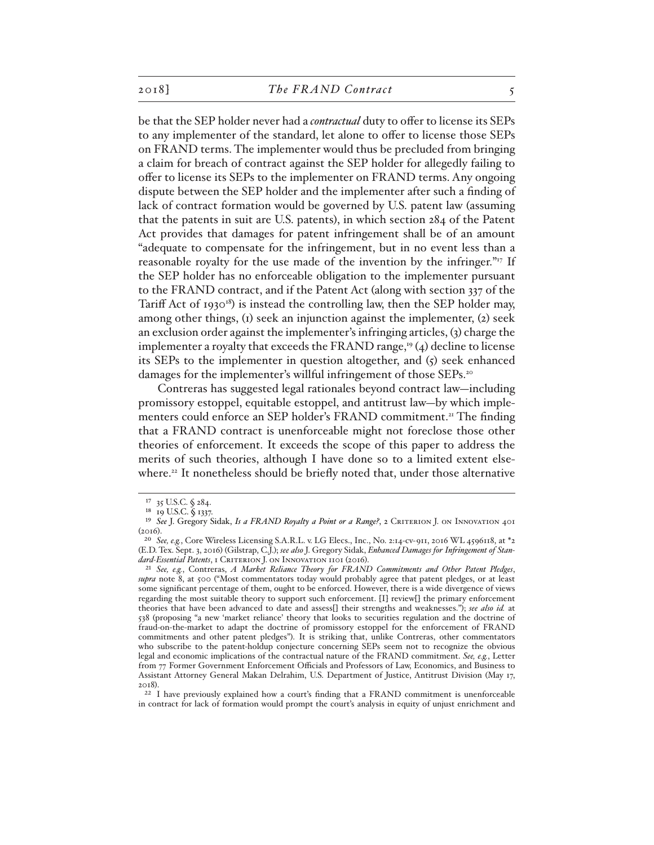be that the SEP holder never had a *contractual* duty to offer to license its SEPs to any implementer of the standard, let alone to offer to license those SEPs on FRAND terms. The implementer would thus be precluded from bringing a claim for breach of contract against the SEP holder for allegedly failing to offer to license its SEPs to the implementer on FRAND terms. Any ongoing dispute between the SEP holder and the implementer after such a finding of lack of contract formation would be governed by U.S. patent law (assuming that the patents in suit are U.S. patents), in which section 284 of the Patent Act provides that damages for patent infringement shall be of an amount "adequate to compensate for the infringement, but in no event less than a reasonable royalty for the use made of the invention by the infringer."<sup>17</sup> If the SEP holder has no enforceable obligation to the implementer pursuant to the FRAND contract, and if the Patent Act (along with section 337 of the Tariff Act of 1930<sup>18</sup>) is instead the controlling law, then the SEP holder may, among other things, (1) seek an injunction against the implementer, (2) seek an exclusion order against the implementer's infringing articles, (3) charge the implementer a royalty that exceeds the FRAND range,<sup>19</sup> (4) decline to license its SEPs to the implementer in question altogether, and  $(5)$  seek enhanced damages for the implementer's willful infringement of those SEPs.<sup>20</sup>

Contreras has suggested legal rationales beyond contract law—including promissory estoppel, equitable estoppel, and antitrust law—by which implementers could enforce an SEP holder's FRAND commitment.<sup>21</sup> The finding that a FRAND contract is unenforceable might not foreclose those other theories of enforcement. It exceeds the scope of this paper to address the merits of such theories, although I have done so to a limited extent elsewhere.<sup>22</sup> It nonetheless should be briefly noted that, under those alternative

<sup>17</sup> 35 U.S.C. § 284.

<sup>18</sup> 19 U.S.C. § 1337.

<sup>&</sup>lt;sup>19</sup> See J. Gregory Sidak, *Is a FRAND Royalty a Point or a Range*?, 2 CRITERION J. ON INNOVATION 401  $(2016).$ 

<sup>20</sup> *See, e.g.*, Core Wireless Licensing S.A.R.L. v. LG Elecs., Inc., No. 2:14-cv-911, 2016 WL 4596118, at \*2 (E.D. Tex. Sept. 3, 2016) (Gilstrap, C.J.); *see also* J. Gregory Sidak, *Enhanced Damages for Infringement of Stan*dard-Essential Patents, I CRITERION J. ON INNOVATION 1101 (2016).

<sup>21</sup> *See, e.g.*, Contreras, *A Market Reliance Theory for FRAND Commitments and Other Patent Pledges*, *supra*  note 8, at 500 ("Most commentators today would probably agree that patent pledges, or at least some significant percentage of them, ought to be enforced. However, there is a wide divergence of views regarding the most suitable theory to support such enforcement. [I] review[] the primary enforcement theories that have been advanced to date and assess[] their strengths and weaknesses."); *see also id.* at 538 (proposing "a new 'market reliance' theory that looks to securities regulation and the doctrine of fraud-on-the-market to adapt the doctrine of promissory estoppel for the enforcement of FRAND commitments and other patent pledges"). It is striking that, unlike Contreras, other commentators who subscribe to the patent-holdup conjecture concerning SEPs seem not to recognize the obvious legal and economic implications of the contractual nature of the FRAND commitment. *See, e.g.*, Letter from 77 Former Government Enforcement Officials and Professors of Law, Economics, and Business to Assistant Attorney General Makan Delrahim, U.S. Department of Justice, Antitrust Division (May 17, 2018).

<sup>22</sup> I have previously explained how a court's finding that a FRAND commitment is unenforceable in contract for lack of formation would prompt the court's analysis in equity of unjust enrichment and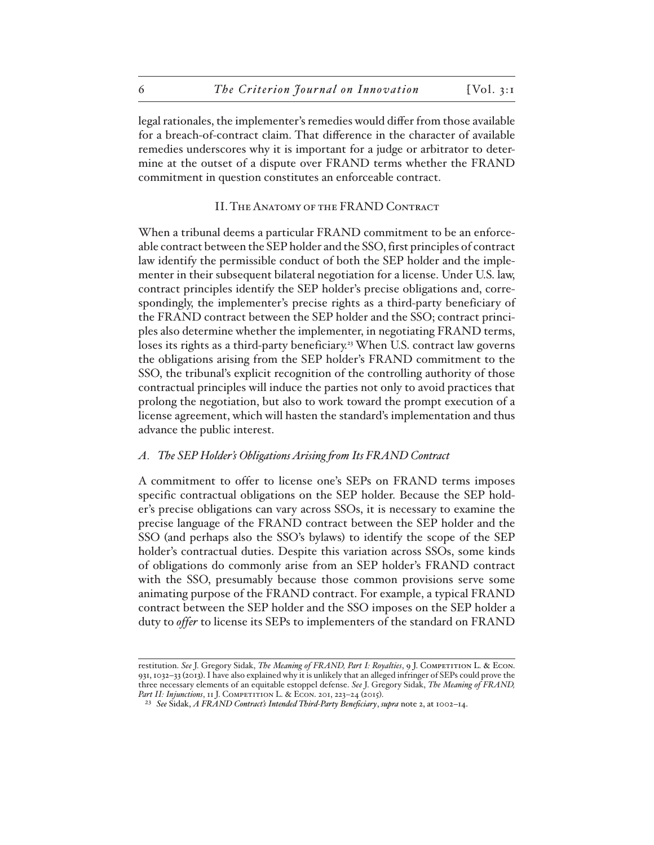legal rationales, the implementer's remedies would differ from those available for a breach-of-contract claim. That difference in the character of available remedies underscores why it is important for a judge or arbitrator to determine at the outset of a dispute over FRAND terms whether the FRAND commitment in question constitutes an enforceable contract.

### II. The Anatomy of the FRAND Contract

When a tribunal deems a particular FRAND commitment to be an enforceable contract between the SEP holder and the SSO, first principles of contract law identify the permissible conduct of both the SEP holder and the implementer in their subsequent bilateral negotiation for a license. Under U.S. law, contract principles identify the SEP holder's precise obligations and, correspondingly, the implementer's precise rights as a third-party beneficiary of the FRAND contract between the SEP holder and the SSO; contract principles also determine whether the implementer, in negotiating FRAND terms, loses its rights as a third-party beneficiary.<sup>23</sup> When U.S. contract law governs the obligations arising from the SEP holder's FRAND commitment to the SSO, the tribunal's explicit recognition of the controlling authority of those contractual principles will induce the parties not only to avoid practices that prolong the negotiation, but also to work toward the prompt execution of a license agreement, which will hasten the standard's implementation and thus advance the public interest.

#### *A. The SEP Holder's Obligations Arising from Its FRAND Contract*

A commitment to offer to license one's SEPs on FRAND terms imposes specific contractual obligations on the SEP holder. Because the SEP holder's precise obligations can vary across SSOs, it is necessary to examine the precise language of the FRAND contract between the SEP holder and the SSO (and perhaps also the SSO's bylaws) to identify the scope of the SEP holder's contractual duties. Despite this variation across SSOs, some kinds of obligations do commonly arise from an SEP holder's FRAND contract with the SSO, presumably because those common provisions serve some animating purpose of the FRAND contract. For example, a typical FRAND contract between the SEP holder and the SSO imposes on the SEP holder a duty to *offer* to license its SEPs to implementers of the standard on FRAND

restitution. *See* J. Gregory Sidak, *The Meaning of FRAND, Part I: Royalties*, 9 J. Competition L. & Econ. 931, 1032–33 (2013). I have also explained why it is unlikely that an alleged infringer of SEPs could prove the three necessary elements of an equitable estoppel defense. *See* J. Gregory Sidak, *The Meaning of FRAND,*  Part II: Injunctions, 11 J. COMPETITION L. & ECON. 201, 223-24 (2015).

<sup>23</sup> *See* Sidak, *A FRAND Contract's Intended Third-Party Beneficiary*, *supra* note 2, at 1002–14.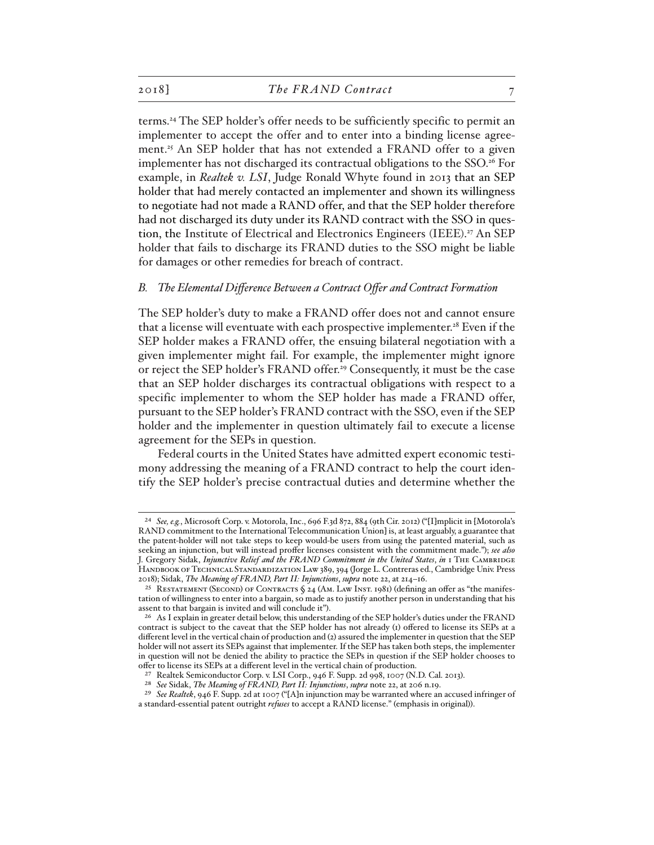terms.24 The SEP holder's offer needs to be sufficiently specific to permit an implementer to accept the offer and to enter into a binding license agreement.<sup>25</sup> An SEP holder that has not extended a FRAND offer to a given implementer has not discharged its contractual obligations to the SSO.<sup>26</sup> For example, in *Realtek v. LSI*, Judge Ronald Whyte found in 2013 that an SEP holder that had merely contacted an implementer and shown its willingness to negotiate had not made a RAND offer, and that the SEP holder therefore had not discharged its duty under its RAND contract with the SSO in question, the Institute of Electrical and Electronics Engineers (IEEE). 27 An SEP holder that fails to discharge its FRAND duties to the SSO might be liable for damages or other remedies for breach of contract.

#### *B. The Elemental Difference Between a Contract Offer and Contract Formation*

The SEP holder's duty to make a FRAND offer does not and cannot ensure that a license will eventuate with each prospective implementer.<sup>28</sup> Even if the SEP holder makes a FRAND offer, the ensuing bilateral negotiation with a given implementer might fail. For example, the implementer might ignore or reject the SEP holder's FRAND offer.29 Consequently, it must be the case that an SEP holder discharges its contractual obligations with respect to a specific implementer to whom the SEP holder has made a FRAND offer, pursuant to the SEP holder's FRAND contract with the SSO, even if the SEP holder and the implementer in question ultimately fail to execute a license agreement for the SEPs in question.

Federal courts in the United States have admitted expert economic testimony addressing the meaning of a FRAND contract to help the court identify the SEP holder's precise contractual duties and determine whether the

<sup>24</sup> *See, e.g.*, Microsoft Corp. v. Motorola, Inc., 696 F.3d 872, 884 (9th Cir. 2012) ("[I]mplicit in [Motorola's RAND commitment to the International Telecommunication Union] is, at least arguably, a guarantee that the patent-holder will not take steps to keep would-be users from using the patented material, such as seeking an injunction, but will instead proffer licenses consistent with the commitment made."); *see also*  J. Gregory Sidak, *Injunctive Relief and the FRAND Commitment in the United States, in* 1 THE CAMBRIDGE Handbook of Technical Standardization Law 389, 394 (Jorge L. Contreras ed., Cambridge Univ. Press 2018); Sidak, *The Meaning of FRAND, Part II: Injunctions*, *supra* note 22, at 214–16.

<sup>25</sup> Restatement (Second) of Contracts § 24 (Am. Law Inst. 1981) (defining an offer as "the manifestation of willingness to enter into a bargain, so made as to justify another person in understanding that his assent to that bargain is invited and will conclude it").

<sup>26</sup> As I explain in greater detail below, this understanding of the SEP holder's duties under the FRAND contract is subject to the caveat that the SEP holder has not already (1) offered to license its SEPs at a different level in the vertical chain of production and (2) assured the implementer in question that the SEP holder will not assert its SEPs against that implementer. If the SEP has taken both steps, the implementer in question will not be denied the ability to practice the SEPs in question if the SEP holder chooses to offer to license its SEPs at a different level in the vertical chain of production.

<sup>27</sup> Realtek Semiconductor Corp. v. LSI Corp., 946 F. Supp. 2d 998, 1007 (N.D. Cal. 2013).

<sup>28</sup> *See* Sidak, *The Meaning of FRAND, Part II: Injunctions*, *supra* note 22, at 206 n.19.

<sup>29</sup> *See Realtek*, 946 F. Supp. 2d at 1007 ("[A]n injunction may be warranted where an accused infringer of a standard-essential patent outright *refuses* to accept a RAND license." (emphasis in original)).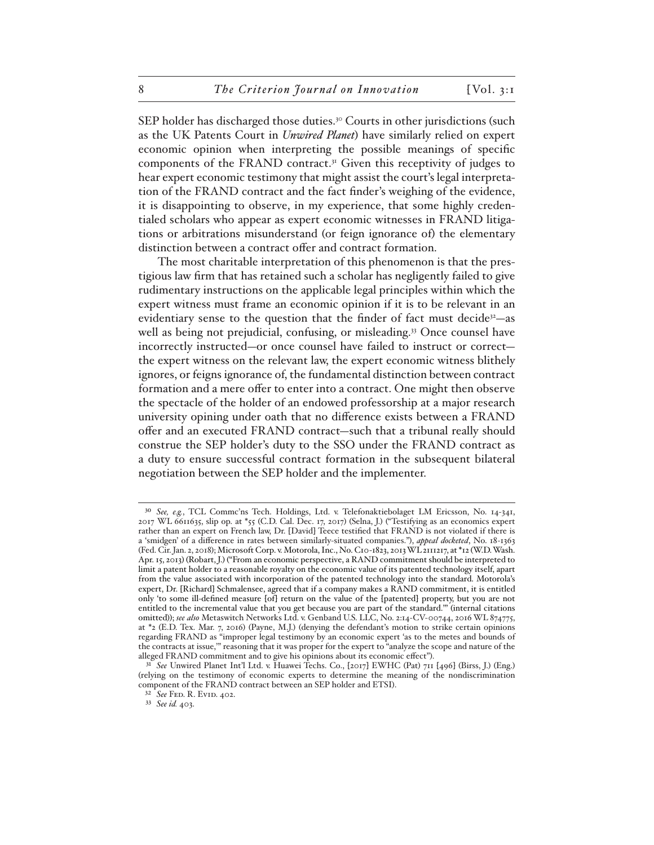SEP holder has discharged those duties.<sup>30</sup> Courts in other jurisdictions (such as the UK Patents Court in *Unwired Planet*) have similarly relied on expert economic opinion when interpreting the possible meanings of specific components of the FRAND contract.31 Given this receptivity of judges to hear expert economic testimony that might assist the court's legal interpretation of the FRAND contract and the fact finder's weighing of the evidence, it is disappointing to observe, in my experience, that some highly credentialed scholars who appear as expert economic witnesses in FRAND litigations or arbitrations misunderstand (or feign ignorance of) the elementary distinction between a contract offer and contract formation.

The most charitable interpretation of this phenomenon is that the prestigious law firm that has retained such a scholar has negligently failed to give rudimentary instructions on the applicable legal principles within which the expert witness must frame an economic opinion if it is to be relevant in an evidentiary sense to the question that the finder of fact must decide<sup>32</sup> $-$ as well as being not prejudicial, confusing, or misleading.<sup>33</sup> Once counsel have incorrectly instructed—or once counsel have failed to instruct or correct the expert witness on the relevant law, the expert economic witness blithely ignores, or feigns ignorance of, the fundamental distinction between contract formation and a mere offer to enter into a contract. One might then observe the spectacle of the holder of an endowed professorship at a major research university opining under oath that no difference exists between a FRAND offer and an executed FRAND contract—such that a tribunal really should construe the SEP holder's duty to the SSO under the FRAND contract as a duty to ensure successful contract formation in the subsequent bilateral negotiation between the SEP holder and the implementer.

<sup>30</sup> *See, e.g.*, TCL Commc'ns Tech. Holdings, Ltd. v. Telefonaktiebolaget LM Ericsson, No. 14-341, 2017 WL 6611635, slip op. at \*55 (C.D. Cal. Dec. 17, 2017) (Selna, J.) ("Testifying as an economics expert rather than an expert on French law, Dr. [David] Teece testified that FRAND is not violated if there is a 'smidgen' of a difference in rates between similarly-situated companies."), *appeal docketed*, No. 18-1363 (Fed. Cir. Jan. 2, 2018); Microsoft Corp. v. Motorola, Inc., No. C10-1823, 2013 WL 2111217, at \*12 (W.D. Wash. Apr. 15, 2013) (Robart, J.) ("From an economic perspective, a RAND commitment should be interpreted to limit a patent holder to a reasonable royalty on the economic value of its patented technology itself, apart from the value associated with incorporation of the patented technology into the standard. Motorola's expert, Dr. [Richard] Schmalensee, agreed that if a company makes a RAND commitment, it is entitled only 'to some ill-defined measure [of] return on the value of the [patented] property, but you are not entitled to the incremental value that you get because you are part of the standard.'" (internal citations omitted)); *see also* Metaswitch Networks Ltd. v. Genband U.S. LLC, No. 2:14-CV-00744, 2016 WL 874775, at \*2 (E.D. Tex. Mar. 7, 2016) (Payne, M.J.) (denying the defendant's motion to strike certain opinions regarding FRAND as "improper legal testimony by an economic expert 'as to the metes and bounds of the contracts at issue,'" reasoning that it was proper for the expert to "analyze the scope and nature of the alleged FRAND commitment and to give his opinions about its economic effect").

<sup>31</sup> *See* Unwired Planet Int'l Ltd. v. Huawei Techs. Co., [2017] EWHC (Pat) 711 [496] (Birss, J.) (Eng.) (relying on the testimony of economic experts to determine the meaning of the nondiscrimination component of the FRAND contract between an SEP holder and ETSI).

<sup>32</sup> *See* Fed. R. Evid. 402.

<sup>33</sup> *See id.* 403.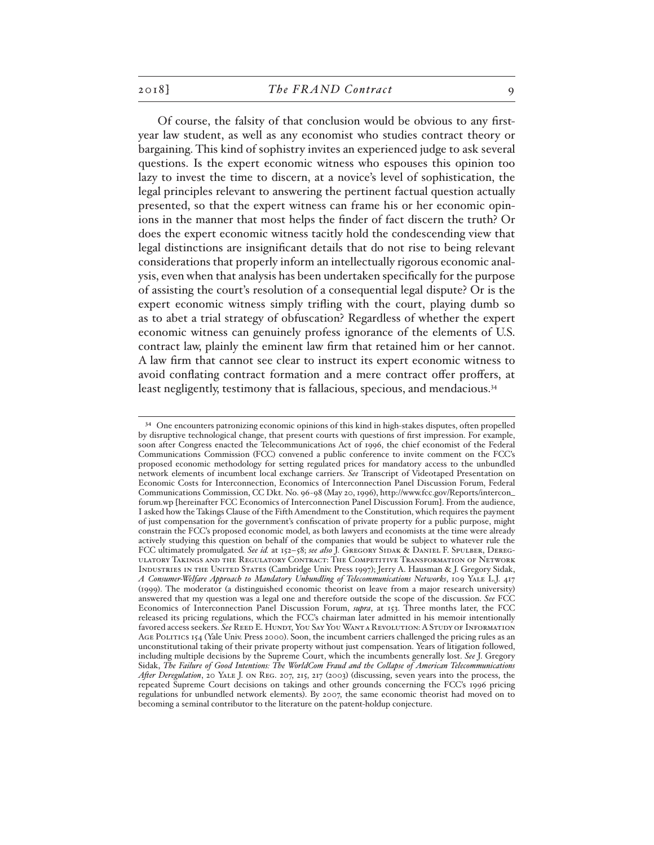Of course, the falsity of that conclusion would be obvious to any firstyear law student, as well as any economist who studies contract theory or bargaining. This kind of sophistry invites an experienced judge to ask several questions. Is the expert economic witness who espouses this opinion too lazy to invest the time to discern, at a novice's level of sophistication, the legal principles relevant to answering the pertinent factual question actually presented, so that the expert witness can frame his or her economic opinions in the manner that most helps the finder of fact discern the truth? Or does the expert economic witness tacitly hold the condescending view that legal distinctions are insignificant details that do not rise to being relevant considerations that properly inform an intellectually rigorous economic analysis, even when that analysis has been undertaken specifically for the purpose of assisting the court's resolution of a consequential legal dispute? Or is the expert economic witness simply trifling with the court, playing dumb so as to abet a trial strategy of obfuscation? Regardless of whether the expert economic witness can genuinely profess ignorance of the elements of U.S. contract law, plainly the eminent law firm that retained him or her cannot. A law firm that cannot see clear to instruct its expert economic witness to avoid conflating contract formation and a mere contract offer proffers, at least negligently, testimony that is fallacious, specious, and mendacious.<sup>34</sup>

<sup>&</sup>lt;sup>34</sup> One encounters patronizing economic opinions of this kind in high-stakes disputes, often propelled by disruptive technological change, that present courts with questions of first impression. For example, soon after Congress enacted the Telecommunications Act of 1996, the chief economist of the Federal Communications Commission (FCC) convened a public conference to invite comment on the FCC's proposed economic methodology for setting regulated prices for mandatory access to the unbundled network elements of incumbent local exchange carriers. *See* Transcript of Videotaped Presentation on Economic Costs for Interconnection, Economics of Interconnection Panel Discussion Forum, Federal Communications Commission, CC Dkt. No. 96-98 (May 20, 1996), http://www.fcc.gov/Reports/intercon\_ forum.wp [hereinafter FCC Economics of Interconnection Panel Discussion Forum]. From the audience, I asked how the Takings Clause of the Fifth Amendment to the Constitution, which requires the payment of just compensation for the government's confiscation of private property for a public purpose, might constrain the FCC's proposed economic model, as both lawyers and economists at the time were already actively studying this question on behalf of the companies that would be subject to whatever rule the FCC ultimately promulgated. See id. at 152-58; see also J. GREGORY SIDAK & DANIEL F. SPULBER, DEREGulatory Takings and the Regulatory Contract: The Competitive Transformation of Network Industries in the United States (Cambridge Univ. Press 1997); Jerry A. Hausman & J. Gregory Sidak, *A Consumer-Welfare Approach to Mandatory Unbundling of Telecommunications Networks*, 109 Yale L.J. 417 (1999). The moderator (a distinguished economic theorist on leave from a major research university) answered that my question was a legal one and therefore outside the scope of the discussion. *See* FCC Economics of Interconnection Panel Discussion Forum, *supra*, at 153. Three months later, the FCC released its pricing regulations, which the FCC's chairman later admitted in his memoir intentionally favored access seekers. *See* Reed E. Hundt, You Say You Want a Revolution: A Study of Information Age Politics 154 (Yale Univ. Press 2000). Soon, the incumbent carriers challenged the pricing rules as an unconstitutional taking of their private property without just compensation. Years of litigation followed, including multiple decisions by the Supreme Court, which the incumbents generally lost. *See* J. Gregory Sidak, *The Failure of Good Intentions: The WorldCom Fraud and the Collapse of American Telecommunications After Deregulation*, 20 Yale J. on Reg. 207, 215, 217 (2003) (discussing, seven years into the process, the repeated Supreme Court decisions on takings and other grounds concerning the FCC's 1996 pricing regulations for unbundled network elements). By 2007, the same economic theorist had moved on to becoming a seminal contributor to the literature on the patent-holdup conjecture.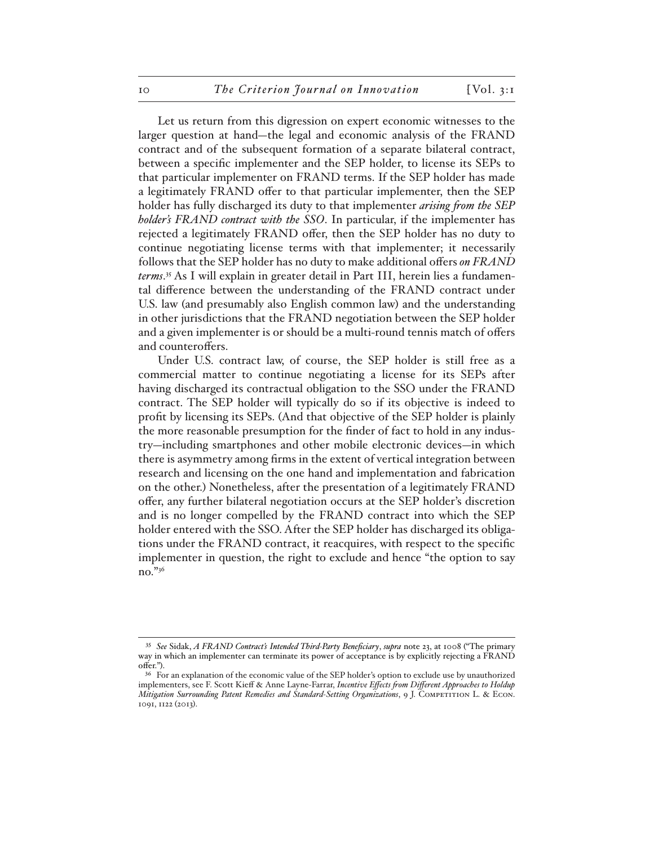Let us return from this digression on expert economic witnesses to the larger question at hand—the legal and economic analysis of the FRAND contract and of the subsequent formation of a separate bilateral contract, between a specific implementer and the SEP holder, to license its SEPs to that particular implementer on FRAND terms. If the SEP holder has made a legitimately FRAND offer to that particular implementer, then the SEP holder has fully discharged its duty to that implementer *arising from the SEP holder's FRAND contract with the SSO*. In particular, if the implementer has rejected a legitimately FRAND offer, then the SEP holder has no duty to continue negotiating license terms with that implementer; it necessarily follows that the SEP holder has no duty to make additional offers *on FRAND terms*. 35 As I will explain in greater detail in Part III, herein lies a fundamental difference between the understanding of the FRAND contract under U.S. law (and presumably also English common law) and the understanding in other jurisdictions that the FRAND negotiation between the SEP holder and a given implementer is or should be a multi-round tennis match of offers and counteroffers.

Under U.S. contract law, of course, the SEP holder is still free as a commercial matter to continue negotiating a license for its SEPs after having discharged its contractual obligation to the SSO under the FRAND contract. The SEP holder will typically do so if its objective is indeed to profit by licensing its SEPs. (And that objective of the SEP holder is plainly the more reasonable presumption for the finder of fact to hold in any industry—including smartphones and other mobile electronic devices—in which there is asymmetry among firms in the extent of vertical integration between research and licensing on the one hand and implementation and fabrication on the other.) Nonetheless, after the presentation of a legitimately FRAND offer, any further bilateral negotiation occurs at the SEP holder's discretion and is no longer compelled by the FRAND contract into which the SEP holder entered with the SSO. After the SEP holder has discharged its obligations under the FRAND contract, it reacquires, with respect to the specific implementer in question, the right to exclude and hence "the option to say no."36

<sup>35</sup> *See* Sidak, *A FRAND Contract's Intended Third-Party Beneficiary*, *supra* note 23, at 1008 ("The primary way in which an implementer can terminate its power of acceptance is by explicitly rejecting a FRAND offer.").

<sup>&</sup>lt;sup>36</sup> For an explanation of the economic value of the SEP holder's option to exclude use by unauthorized implementers, see F. Scott Kieff & Anne Layne-Farrar, *Incentive Effects from Different Approaches to Holdup Mitigation Surrounding Patent Remedies and Standard-Setting Organizations*, 9 J. COMPETITION L. & ECON. 1091, 1122 (2013).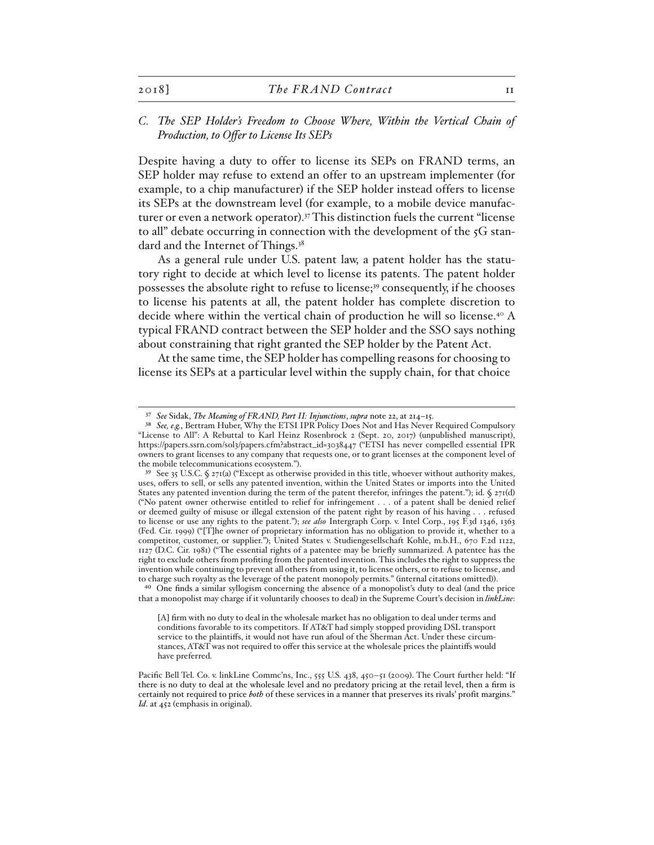# *C. The SEP Holder's Freedom to Choose Where, Within the Vertical Chain of Production, to Offer to License Its SEPs*

Despite having a duty to offer to license its SEPs on FRAND terms, an SEP holder may refuse to extend an offer to an upstream implementer (for example, to a chip manufacturer) if the SEP holder instead offers to license its SEPs at the downstream level (for example, to a mobile device manufacturer or even a network operator).<sup>37</sup> This distinction fuels the current "license to all" debate occurring in connection with the development of the  $5<sub>G</sub>$  standard and the Internet of Things.<sup>38</sup>

As a general rule under U.S. patent law, a patent holder has the statutory right to decide at which level to license its patents. The patent holder possesses the absolute right to refuse to license;<sup>39</sup> consequently, if he chooses to license his patents at all, the patent holder has complete discretion to decide where within the vertical chain of production he will so license.40 A typical FRAND contract between the SEP holder and the SSO says nothing about constraining that right granted the SEP holder by the Patent Act.

At the same time, the SEP holder has compelling reasons for choosing to license its SEPs at a particular level within the supply chain, for that choice

40 One finds a similar syllogism concerning the absence of a monopolist's duty to deal (and the price that a monopolist may charge if it voluntarily chooses to deal) in the Supreme Court's decision in *linkLine*:

[A] firm with no duty to deal in the wholesale market has no obligation to deal under terms and conditions favorable to its competitors. If AT&T had simply stopped providing DSL transport service to the plaintiffs, it would not have run afoul of the Sherman Act. Under these circumstances, AT&T was not required to offer this service at the wholesale prices the plaintiffs would have preferred.

Pacific Bell Tel. Co. v. linkLine Commc'ns, Inc., 555 U.S. 438, 450-51 (2009). The Court further held: "If there is no duty to deal at the wholesale level and no predatory pricing at the retail level, then a firm is certainly not required to price *both* of these services in a manner that preserves its rivals' profit margins." *Id*. at 452 (emphasis in original).

<sup>37</sup> *See* Sidak, *The Meaning of FRAND, Part II: Injunctions*, *supra* note 22, at 214–15.

<sup>38</sup> *See, e.g.*, Bertram Huber, Why the ETSI IPR Policy Does Not and Has Never Required Compulsory "License to All": A Rebuttal to Karl Heinz Rosenbrock 2 (Sept. 20, 2017) (unpublished manuscript), https://papers.ssrn.com/sol3/papers.cfm?abstract\_id=3038447 ("ETSI has never compelled essential IPR owners to grant licenses to any company that requests one, or to grant licenses at the component level of the mobile telecommunications ecosystem.").

<sup>39</sup> See 35 U.S.C. § 271(a) ("Except as otherwise provided in this title, whoever without authority makes, uses, offers to sell, or sells any patented invention, within the United States or imports into the United States any patented invention during the term of the patent therefor, infringes the patent."); id. § 271(d) ("No patent owner otherwise entitled to relief for infringement . . . of a patent shall be denied relief or deemed guilty of misuse or illegal extension of the patent right by reason of his having . . . refused to license or use any rights to the patent."); *see also* Intergraph Corp. v. Intel Corp., 195 F.3d 1346, 1363 (Fed. Cir. 1999) ("[T]he owner of proprietary information has no obligation to provide it, whether to a competitor, customer, or supplier."); United States v. Studiengesellschaft Kohle, m.b.H., 670 F.2d 1122, 1127 (D.C. Cir. 1981) ("The essential rights of a patentee may be briefly summarized. A patentee has the right to exclude others from profiting from the patented invention. This includes the right to suppress the invention while continuing to prevent all others from using it, to license others, or to refuse to license, and to charge such royalty as the leverage of the patent monopoly permits." (internal citations omitted)).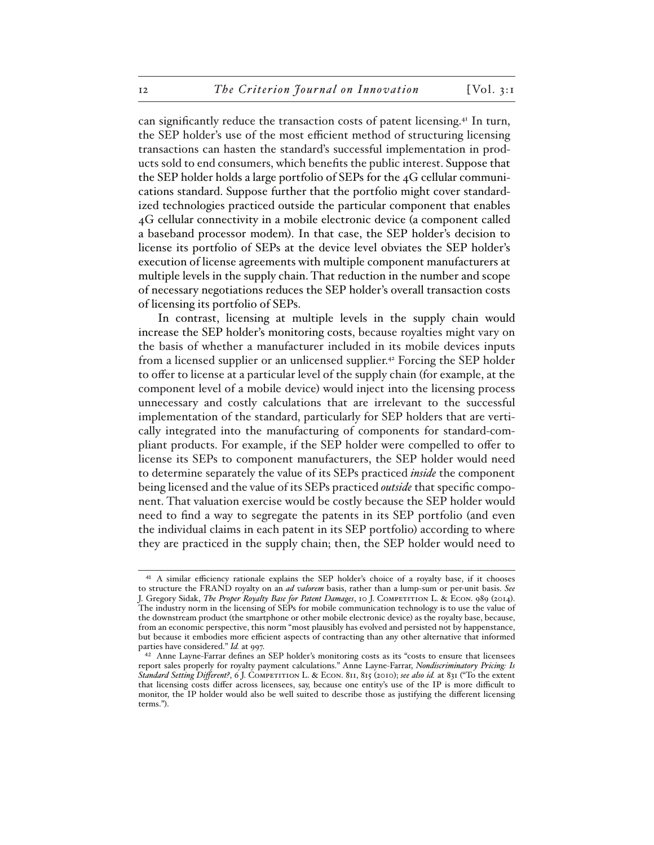can significantly reduce the transaction costs of patent licensing.41 In turn, the SEP holder's use of the most efficient method of structuring licensing transactions can hasten the standard's successful implementation in products sold to end consumers, which benefits the public interest. Suppose that the SEP holder holds a large portfolio of SEPs for the 4G cellular communications standard. Suppose further that the portfolio might cover standardized technologies practiced outside the particular component that enables 4G cellular connectivity in a mobile electronic device (a component called a baseband processor modem). In that case, the SEP holder's decision to license its portfolio of SEPs at the device level obviates the SEP holder's execution of license agreements with multiple component manufacturers at multiple levels in the supply chain. That reduction in the number and scope of necessary negotiations reduces the SEP holder's overall transaction costs of licensing its portfolio of SEPs.

In contrast, licensing at multiple levels in the supply chain would increase the SEP holder's monitoring costs, because royalties might vary on the basis of whether a manufacturer included in its mobile devices inputs from a licensed supplier or an unlicensed supplier.42 Forcing the SEP holder to offer to license at a particular level of the supply chain (for example, at the component level of a mobile device) would inject into the licensing process unnecessary and costly calculations that are irrelevant to the successful implementation of the standard, particularly for SEP holders that are vertically integrated into the manufacturing of components for standard-compliant products. For example, if the SEP holder were compelled to offer to license its SEPs to component manufacturers, the SEP holder would need to determine separately the value of its SEPs practiced *inside* the component being licensed and the value of its SEPs practiced *outside* that specific component. That valuation exercise would be costly because the SEP holder would need to find a way to segregate the patents in its SEP portfolio (and even the individual claims in each patent in its SEP portfolio) according to where they are practiced in the supply chain; then, the SEP holder would need to

<sup>41</sup> A similar efficiency rationale explains the SEP holder's choice of a royalty base, if it chooses to structure the FRAND royalty on an *ad valorem* basis, rather than a lump-sum or per-unit basis. *See*  J. Gregory Sidak, *The Proper Royalty Base for Patent Damages*, 10 J. COMPETITION L. & ECON. 989 (2014). The industry norm in the licensing of SEPs for mobile communication technology is to use the value of the downstream product (the smartphone or other mobile electronic device) as the royalty base, because, from an economic perspective, this norm "most plausibly has evolved and persisted not by happenstance, but because it embodies more efficient aspects of contracting than any other alternative that informed parties have considered." *Id.* at 997.

<sup>42</sup> Anne Layne-Farrar defines an SEP holder's monitoring costs as its "costs to ensure that licensees report sales properly for royalty payment calculations." Anne Layne-Farrar, *Nondiscriminatory Pricing: Is Standard Setting Different?*, 6 J. COMPETITION L. & ECON. 811, 815 (2010); see also id. at 831 ("To the extent that licensing costs differ across licensees, say, because one entity's use of the IP is more difficult to monitor, the IP holder would also be well suited to describe those as justifying the different licensing terms.").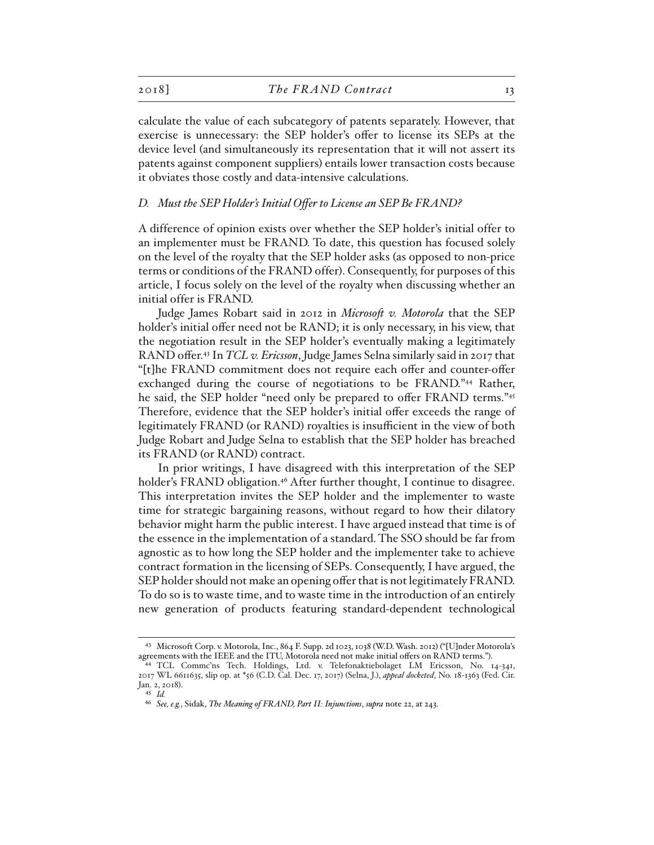calculate the value of each subcategory of patents separately. However, that exercise is unnecessary: the SEP holder's offer to license its SEPs at the device level (and simultaneously its representation that it will not assert its patents against component suppliers) entails lower transaction costs because it obviates those costly and data-intensive calculations.

#### *D. Must the SEP Holder's Initial Offer to License an SEP Be FRAND?*

A difference of opinion exists over whether the SEP holder's initial offer to an implementer must be FRAND. To date, this question has focused solely on the level of the royalty that the SEP holder asks (as opposed to non-price terms or conditions of the FRAND offer). Consequently, for purposes of this article, I focus solely on the level of the royalty when discussing whether an initial offer is FRAND.

Judge James Robart said in 2012 in *Microsoft v. Motorola* that the SEP holder's initial offer need not be RAND; it is only necessary, in his view, that the negotiation result in the SEP holder's eventually making a legitimately RAND offer.43 In *TCL v. Ericsson*, Judge James Selna similarly said in 2017 that "[t]he FRAND commitment does not require each offer and counter-offer exchanged during the course of negotiations to be FRAND."44 Rather, he said, the SEP holder "need only be prepared to offer FRAND terms."45 Therefore, evidence that the SEP holder's initial offer exceeds the range of legitimately FRAND (or RAND) royalties is insufficient in the view of both Judge Robart and Judge Selna to establish that the SEP holder has breached its FRAND (or RAND) contract.

In prior writings, I have disagreed with this interpretation of the SEP holder's FRAND obligation.<sup>46</sup> After further thought, I continue to disagree. This interpretation invites the SEP holder and the implementer to waste time for strategic bargaining reasons, without regard to how their dilatory behavior might harm the public interest. I have argued instead that time is of the essence in the implementation of a standard. The SSO should be far from agnostic as to how long the SEP holder and the implementer take to achieve contract formation in the licensing of SEPs. Consequently, I have argued, the SEP holder should not make an opening offer that is not legitimately FRAND. To do so is to waste time, and to waste time in the introduction of an entirely new generation of products featuring standard-dependent technological

<sup>43</sup> Microsoft Corp. v. Motorola, Inc., 864 F. Supp. 2d 1023, 1038 (W.D. Wash. 2012) ("[U]nder Motorola's agreements with the IEEE and the ITU, Motorola need not make initial offers on RAND terms.").

<sup>44</sup> TCL Commc'ns Tech. Holdings, Ltd. v. Telefonaktiebolaget LM Ericsson, No. 14-341, 2017 WL 6611635, slip op. at \*56 (C.D. Cal. Dec. 17, 2017) (Selna, J.), *appeal docketed*, No. 18-1363 (Fed. Cir. Jan. 2, 2018).

<sup>45</sup> *Id.*

<sup>46</sup> *See, e.g.*, Sidak, *The Meaning of FRAND, Part II: Injunctions*, *supra* note 22, at 243.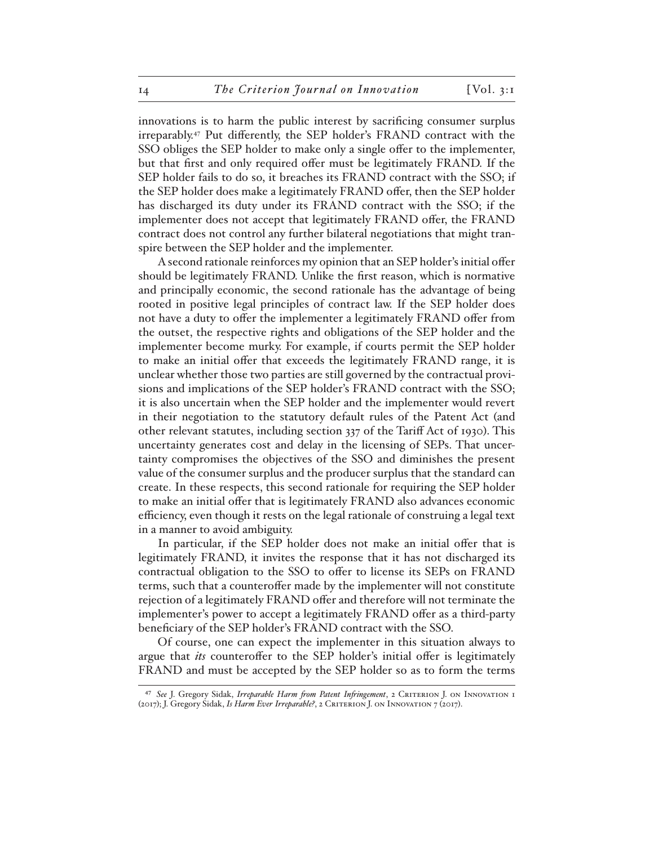innovations is to harm the public interest by sacrificing consumer surplus irreparably.47 Put differently, the SEP holder's FRAND contract with the SSO obliges the SEP holder to make only a single offer to the implementer, but that first and only required offer must be legitimately FRAND. If the SEP holder fails to do so, it breaches its FRAND contract with the SSO; if the SEP holder does make a legitimately FRAND offer, then the SEP holder has discharged its duty under its FRAND contract with the SSO; if the implementer does not accept that legitimately FRAND offer, the FRAND contract does not control any further bilateral negotiations that might transpire between the SEP holder and the implementer.

A second rationale reinforces my opinion that an SEP holder's initial offer should be legitimately FRAND. Unlike the first reason, which is normative and principally economic, the second rationale has the advantage of being rooted in positive legal principles of contract law. If the SEP holder does not have a duty to offer the implementer a legitimately FRAND offer from the outset, the respective rights and obligations of the SEP holder and the implementer become murky. For example, if courts permit the SEP holder to make an initial offer that exceeds the legitimately FRAND range, it is unclear whether those two parties are still governed by the contractual provisions and implications of the SEP holder's FRAND contract with the SSO; it is also uncertain when the SEP holder and the implementer would revert in their negotiation to the statutory default rules of the Patent Act (and other relevant statutes, including section 337 of the Tariff Act of 1930). This uncertainty generates cost and delay in the licensing of SEPs. That uncertainty compromises the objectives of the SSO and diminishes the present value of the consumer surplus and the producer surplus that the standard can create. In these respects, this second rationale for requiring the SEP holder to make an initial offer that is legitimately FRAND also advances economic efficiency, even though it rests on the legal rationale of construing a legal text in a manner to avoid ambiguity.

In particular, if the SEP holder does not make an initial offer that is legitimately FRAND, it invites the response that it has not discharged its contractual obligation to the SSO to offer to license its SEPs on FRAND terms, such that a counteroffer made by the implementer will not constitute rejection of a legitimately FRAND offer and therefore will not terminate the implementer's power to accept a legitimately FRAND offer as a third-party beneficiary of the SEP holder's FRAND contract with the SSO.

Of course, one can expect the implementer in this situation always to argue that *its* counteroffer to the SEP holder's initial offer is legitimately FRAND and must be accepted by the SEP holder so as to form the terms

<sup>47</sup> *See* J. Gregory Sidak, *Irreparable Harm from Patent Infringement*, 2 Criterion J. on Innovation 1 (2017); J. Gregory Sidak, *Is Harm Ever Irreparable*?, 2 CRITERION J. ON INNOVATION 7 (2017).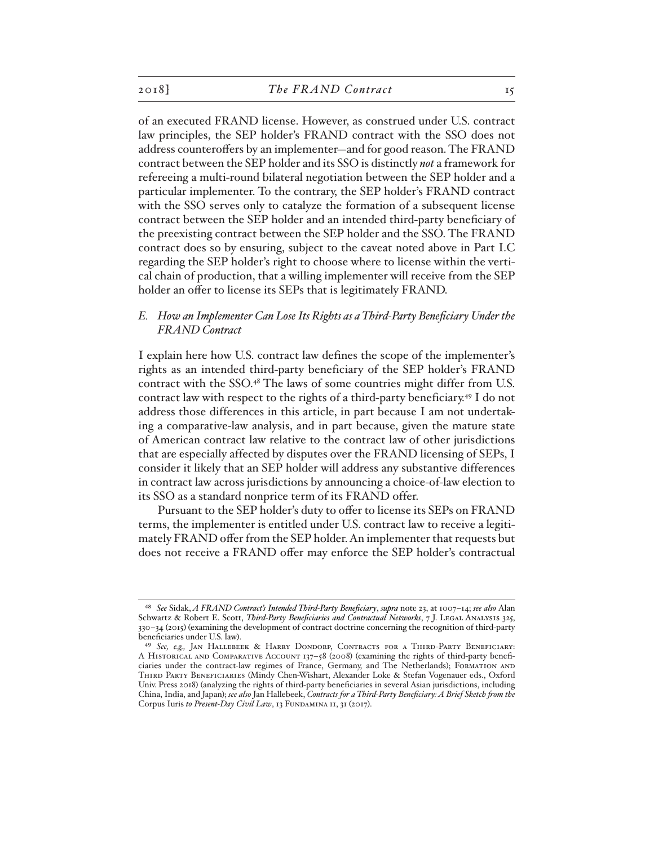of an executed FRAND license. However, as construed under U.S. contract law principles, the SEP holder's FRAND contract with the SSO does not address counteroffers by an implementer—and for good reason. The FRAND contract between the SEP holder and its SSO is distinctly *not* a framework for refereeing a multi-round bilateral negotiation between the SEP holder and a particular implementer. To the contrary, the SEP holder's FRAND contract with the SSO serves only to catalyze the formation of a subsequent license contract between the SEP holder and an intended third-party beneficiary of the preexisting contract between the SEP holder and the SSO. The FRAND contract does so by ensuring, subject to the caveat noted above in Part I.C regarding the SEP holder's right to choose where to license within the vertical chain of production, that a willing implementer will receive from the SEP holder an offer to license its SEPs that is legitimately FRAND.

# *E. How an Implementer Can Lose Its Rights as a Third-Party Beneficiary Under the FRAND Contract*

I explain here how U.S. contract law defines the scope of the implementer's rights as an intended third-party beneficiary of the SEP holder's FRAND contract with the SSO.48 The laws of some countries might differ from U.S. contract law with respect to the rights of a third-party beneficiary.49 I do not address those differences in this article, in part because I am not undertaking a comparative-law analysis, and in part because, given the mature state of American contract law relative to the contract law of other jurisdictions that are especially affected by disputes over the FRAND licensing of SEPs, I consider it likely that an SEP holder will address any substantive differences in contract law across jurisdictions by announcing a choice-of-law election to its SSO as a standard nonprice term of its FRAND offer.

Pursuant to the SEP holder's duty to offer to license its SEPs on FRAND terms, the implementer is entitled under U.S. contract law to receive a legitimately FRAND offer from the SEP holder. An implementer that requests but does not receive a FRAND offer may enforce the SEP holder's contractual

<sup>48</sup> *See* Sidak, *A FRAND Contract's Intended Third-Party Beneficiary*, *supra* note 23, at 1007–14; *see also* Alan Schwartz & Robert E. Scott, *Third-Party Beneficiaries and Contractual Networks*, 7 J. LEGAL ANALYSIS 325, 330–34 (2015) (examining the development of contract doctrine concerning the recognition of third-party beneficiaries under U.S. law).

<sup>49</sup> *See, e.g.,* Jan Hallebeek & Harry Dondorp, Contracts for a Third-Party Beneficiary: A Historical and Comparative Account 137–58 (2008) (examining the rights of third-party beneficiaries under the contract-law regimes of France, Germany, and The Netherlands); Formation and THIRD PARTY BENEFICIARIES (Mindy Chen-Wishart, Alexander Loke & Stefan Vogenauer eds., Oxford Univ. Press 2018) (analyzing the rights of third-party beneficiaries in several Asian jurisdictions, including China, India, and Japan); *see also* Jan Hallebeek, *Contracts for a Third-Party Beneficiary: A Brief Sketch from the*  Corpus Iuris to Present-Day Civil Law, 13 FUNDAMINA 11, 31 (2017).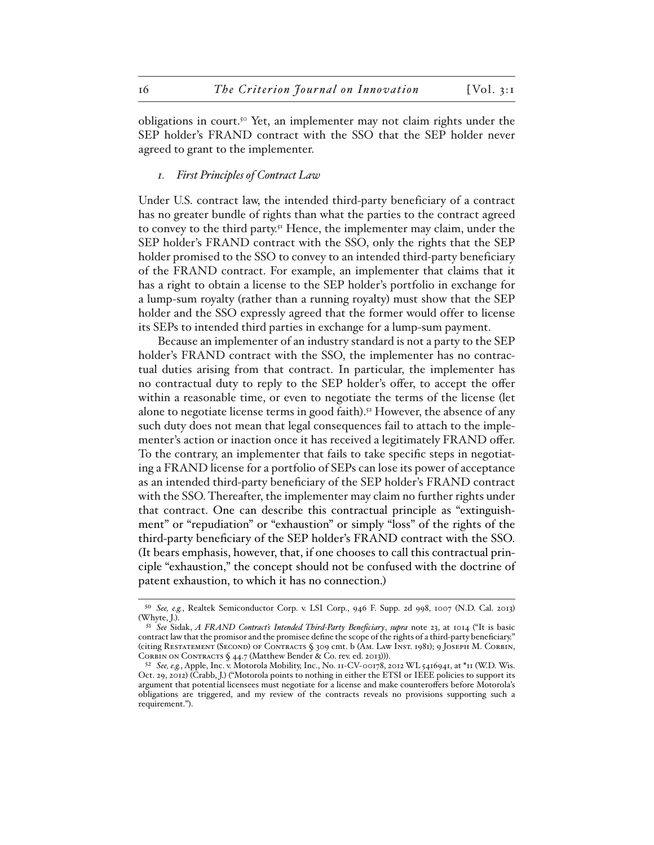obligations in court.50 Yet, an implementer may not claim rights under the SEP holder's FRAND contract with the SSO that the SEP holder never agreed to grant to the implementer.

### *1. First Principles of Contract Law*

Under U.S. contract law, the intended third-party beneficiary of a contract has no greater bundle of rights than what the parties to the contract agreed to convey to the third party.<sup>51</sup> Hence, the implementer may claim, under the SEP holder's FRAND contract with the SSO, only the rights that the SEP holder promised to the SSO to convey to an intended third-party beneficiary of the FRAND contract. For example, an implementer that claims that it has a right to obtain a license to the SEP holder's portfolio in exchange for a lump-sum royalty (rather than a running royalty) must show that the SEP holder and the SSO expressly agreed that the former would offer to license its SEPs to intended third parties in exchange for a lump-sum payment.

Because an implementer of an industry standard is not a party to the SEP holder's FRAND contract with the SSO, the implementer has no contractual duties arising from that contract. In particular, the implementer has no contractual duty to reply to the SEP holder's offer, to accept the offer within a reasonable time, or even to negotiate the terms of the license (let alone to negotiate license terms in good faith).<sup>52</sup> However, the absence of any such duty does not mean that legal consequences fail to attach to the implementer's action or inaction once it has received a legitimately FRAND offer. To the contrary, an implementer that fails to take specific steps in negotiating a FRAND license for a portfolio of SEPs can lose its power of acceptance as an intended third-party beneficiary of the SEP holder's FRAND contract with the SSO. Thereafter, the implementer may claim no further rights under that contract. One can describe this contractual principle as "extinguishment" or "repudiation" or "exhaustion" or simply "loss" of the rights of the third-party beneficiary of the SEP holder's FRAND contract with the SSO. (It bears emphasis, however, that, if one chooses to call this contractual principle "exhaustion," the concept should not be confused with the doctrine of patent exhaustion, to which it has no connection.)

<sup>50</sup> *See, e.g.*, Realtek Semiconductor Corp. v. LSI Corp., 946 F. Supp. 2d 998, 1007 (N.D. Cal. 2013) (Whyte, J.).

<sup>51</sup> *See* Sidak, *A FRAND Contract's Intended Third-Party Beneficiary*, *supra* note 23, at 1014 ("It is basic contract law that the promisor and the promisee define the scope of the rights of a third-party beneficiary." (citing Restatement (Second) of Contracts § 309 cmt. b (Am. Law Inst. 1981); 9 Joseph M. Corbin, CORBIN ON CONTRACTS § 44.7 (Matthew Bender & Co. rev. ed. 2013))).

<sup>52</sup> *See, e.g.*, Apple, Inc. v. Motorola Mobility, Inc., No. 11-CV-00178, 2012 WL 5416941, at \*11 (W.D. Wis. Oct. 29, 2012) (Crabb, J.) ("Motorola points to nothing in either the ETSI or IEEE policies to support its argument that potential licensees must negotiate for a license and make counteroffers before Motorola's obligations are triggered, and my review of the contracts reveals no provisions supporting such a requirement.").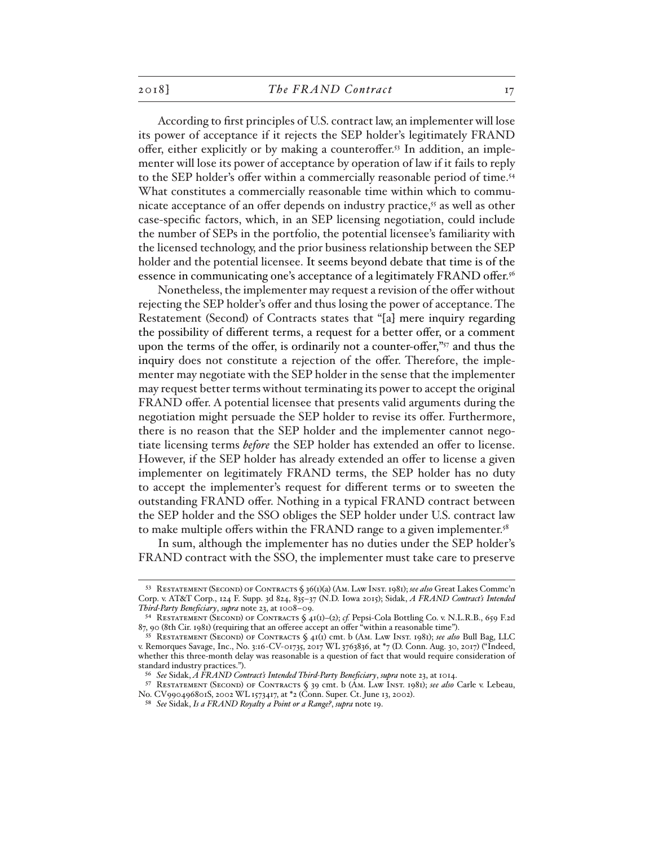According to first principles of U.S. contract law, an implementer will lose its power of acceptance if it rejects the SEP holder's legitimately FRAND offer, either explicitly or by making a counteroffer.<sup>53</sup> In addition, an implementer will lose its power of acceptance by operation of law if it fails to reply to the SEP holder's offer within a commercially reasonable period of time.<sup>54</sup> What constitutes a commercially reasonable time within which to communicate acceptance of an offer depends on industry practice,<sup>55</sup> as well as other case-specific factors, which, in an SEP licensing negotiation, could include the number of SEPs in the portfolio, the potential licensee's familiarity with the licensed technology, and the prior business relationship between the SEP holder and the potential licensee. It seems beyond debate that time is of the essence in communicating one's acceptance of a legitimately FRAND offer.<sup>56</sup>

Nonetheless, the implementer may request a revision of the offer without rejecting the SEP holder's offer and thus losing the power of acceptance. The Restatement (Second) of Contracts states that "[a] mere inquiry regarding the possibility of different terms, a request for a better offer, or a comment upon the terms of the offer, is ordinarily not a counter-offer,"<sup>57</sup> and thus the inquiry does not constitute a rejection of the offer. Therefore, the implementer may negotiate with the SEP holder in the sense that the implementer may request better terms without terminating its power to accept the original FRAND offer. A potential licensee that presents valid arguments during the negotiation might persuade the SEP holder to revise its offer. Furthermore, there is no reason that the SEP holder and the implementer cannot negotiate licensing terms *before* the SEP holder has extended an offer to license. However, if the SEP holder has already extended an offer to license a given implementer on legitimately FRAND terms, the SEP holder has no duty to accept the implementer's request for different terms or to sweeten the outstanding FRAND offer. Nothing in a typical FRAND contract between the SEP holder and the SSO obliges the SEP holder under U.S. contract law to make multiple offers within the FRAND range to a given implementer.<sup>58</sup>

In sum, although the implementer has no duties under the SEP holder's FRAND contract with the SSO, the implementer must take care to preserve

<sup>53</sup> Restatement (Second) of Contracts § 36(1)(a) (Am. Law Inst. 1981); *see also* Great Lakes Commc'n Corp. v. AT&T Corp., 124 F. Supp. 3d 824, 835–37 (N.D. Iowa 2015); Sidak, *A FRAND Contract's Intended Third-Party Beneficiary*, *supra* note 23, at 1008–09.

<sup>54</sup> Restatement (Second) of Contracts § 41(1)–(2); *cf.* Pepsi-Cola Bottling Co. v. N.L.R.B., 659 F.2d 87, 90 (8th Cir. 1981) (requiring that an offeree accept an offer "within a reasonable time").

<sup>55</sup> Restatement (Second) of Contracts § 41(1) cmt. b (Am. Law Inst. 1981); *see also* Bull Bag, LLC v. Remorques Savage, Inc., No. 3:16-CV-01735, 2017 WL 3763836, at \*7 (D. Conn. Aug. 30, 2017) ("Indeed, whether this three-month delay was reasonable is a question of fact that would require consideration of standard industry practices.").

<sup>56</sup> *See* Sidak, *A FRAND Contract's Intended Third-Party Beneficiary*, *supra* note 23, at 1014.

<sup>57</sup> Restatement (Second) of Contracts § 39 cmt. b (Am. Law Inst. 1981); *see also* Carle v. Lebeau, No. CV990496801S, 2002 WL 1573417, at \*2 (Conn. Super. Ct. June 13, 2002).

<sup>58</sup> *See* Sidak, *Is a FRAND Royalty a Point or a Range?*, *supra* note 19.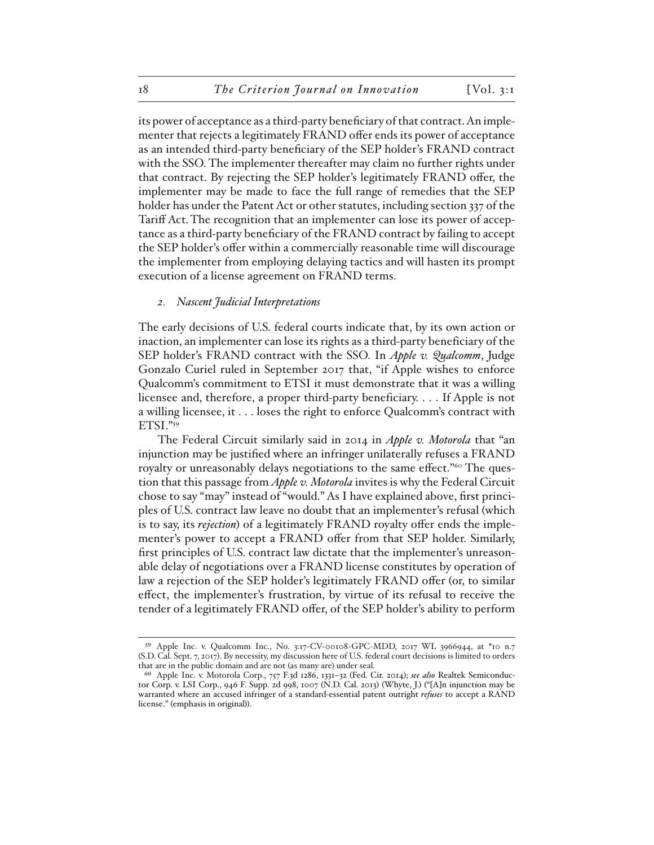its power of acceptance as a third-party beneficiary of that contract. An implementer that rejects a legitimately FRAND offer ends its power of acceptance as an intended third-party beneficiary of the SEP holder's FRAND contract with the SSO. The implementer thereafter may claim no further rights under that contract. By rejecting the SEP holder's legitimately FRAND offer, the implementer may be made to face the full range of remedies that the SEP holder has under the Patent Act or other statutes, including section 337 of the Tariff Act.The recognition that an implementer can lose its power of acceptance as a third-party beneficiary of the FRAND contract by failing to accept the SEP holder's offer within a commercially reasonable time will discourage the implementer from employing delaying tactics and will hasten its prompt execution of a license agreement on FRAND terms.

#### *2. Nascent Judicial Interpretations*

The early decisions of U.S. federal courts indicate that, by its own action or inaction, an implementer can lose its rights as a third-party beneficiary of the SEP holder's FRAND contract with the SSO. In *Apple v. Qualcomm*, Judge Gonzalo Curiel ruled in September 2017 that, "if Apple wishes to enforce Qualcomm's commitment to ETSI it must demonstrate that it was a willing licensee and, therefore, a proper third-party beneficiary. . . . If Apple is not a willing licensee, it . . . loses the right to enforce Qualcomm's contract with ETSI."59

The Federal Circuit similarly said in 2014 in *Apple v. Motorola* that "an injunction may be justified where an infringer unilaterally refuses a FRAND royalty or unreasonably delays negotiations to the same effect."<sup>60</sup> The question that this passage from *Apple v. Motorola* invites is why the Federal Circuit chose to say "may" instead of "would." As I have explained above, first principles of U.S. contract law leave no doubt that an implementer's refusal (which is to say, its *rejection*) of a legitimately FRAND royalty offer ends the implementer's power to accept a FRAND offer from that SEP holder. Similarly, first principles of U.S. contract law dictate that the implementer's unreasonable delay of negotiations over a FRAND license constitutes by operation of law a rejection of the SEP holder's legitimately FRAND offer (or, to similar effect, the implementer's frustration, by virtue of its refusal to receive the tender of a legitimately FRAND offer, of the SEP holder's ability to perform

<sup>59</sup> Apple Inc. v. Qualcomm Inc., No. 3:17-CV-00108-GPC-MDD, 2017 WL 3966944, at \*10 n.7 (S.D. Cal. Sept. 7, 2017). By necessity, my discussion here of U.S. federal court decisions is limited to orders that are in the public domain and are not (as many are) under seal.

<sup>60</sup> Apple Inc. v. Motorola Corp., 757 F.3d 1286, 1331–32 (Fed. Cir. 2014); *see also* Realtek Semiconductor Corp. v. LSI Corp., 946 F. Supp. 2d 998, 1007 (N.D. Cal. 2013) (Whyte, J.) ("[A]n injunction may be warranted where an accused infringer of a standard-essential patent outright *refuses* to accept a RAND license." (emphasis in original)).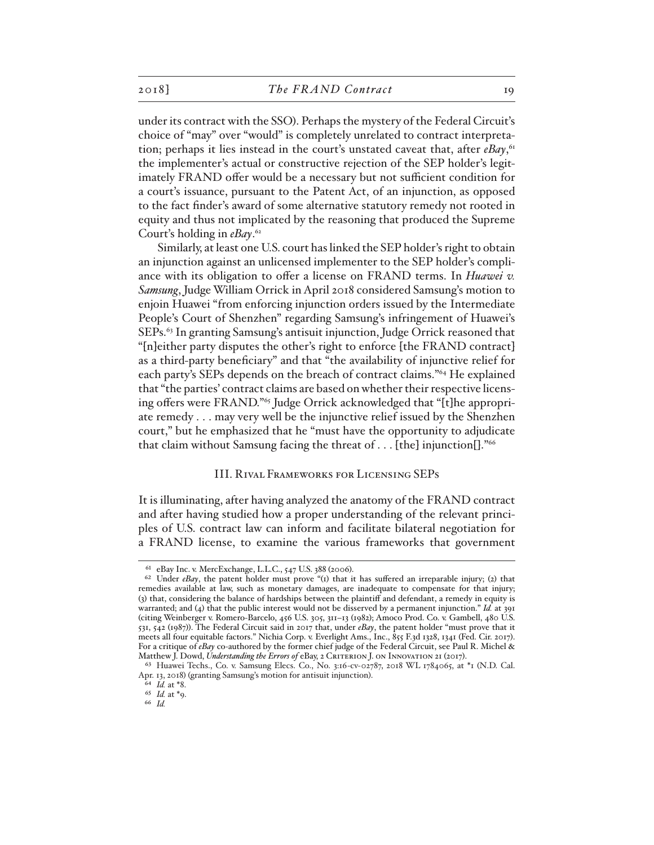under its contract with the SSO). Perhaps the mystery of the Federal Circuit's choice of "may" over "would" is completely unrelated to contract interpretation; perhaps it lies instead in the court's unstated caveat that, after *eBay*, 61 the implementer's actual or constructive rejection of the SEP holder's legitimately FRAND offer would be a necessary but not sufficient condition for a court's issuance, pursuant to the Patent Act, of an injunction, as opposed to the fact finder's award of some alternative statutory remedy not rooted in equity and thus not implicated by the reasoning that produced the Supreme Court's holding in *eBay*. 62

Similarly, at least one U.S. court has linked the SEP holder's right to obtain an injunction against an unlicensed implementer to the SEP holder's compliance with its obligation to offer a license on FRAND terms. In *Huawei v. Samsung*, Judge William Orrick in April 2018 considered Samsung's motion to enjoin Huawei "from enforcing injunction orders issued by the Intermediate People's Court of Shenzhen" regarding Samsung's infringement of Huawei's SEPs.63 In granting Samsung's antisuit injunction, Judge Orrick reasoned that "[n]either party disputes the other's right to enforce [the FRAND contract] as a third-party beneficiary" and that "the availability of injunctive relief for each party's SEPs depends on the breach of contract claims."64 He explained that "the parties' contract claims are based on whether their respective licensing offers were FRAND."65 Judge Orrick acknowledged that "[t]he appropriate remedy . . . may very well be the injunctive relief issued by the Shenzhen court," but he emphasized that he "must have the opportunity to adjudicate that claim without Samsung facing the threat of . . . [the] injunction[]."66

#### III. Rival Frameworks for Licensing SEPs

It is illuminating, after having analyzed the anatomy of the FRAND contract and after having studied how a proper understanding of the relevant principles of U.S. contract law can inform and facilitate bilateral negotiation for a FRAND license, to examine the various frameworks that government

<sup>61</sup> eBay Inc. v. MercExchange, L.L.C., 547 U.S. 388 (2006).

<sup>&</sup>lt;sup>62</sup> Under *eBay*, the patent holder must prove "(1) that it has suffered an irreparable injury; (2) that remedies available at law, such as monetary damages, are inadequate to compensate for that injury; (3) that, considering the balance of hardships between the plaintiff and defendant, a remedy in equity is warranted; and (4) that the public interest would not be disserved by a permanent injunction." *Id.* at 391 (citing Weinberger v. Romero-Barcelo, 456 U.S. 305, 311–13 (1982); Amoco Prod. Co. v. Gambell, 480 U.S. 531, 542 (1987)). The Federal Circuit said in 2017 that, under *eBay*, the patent holder "must prove that it meets all four equitable factors." Nichia Corp. v. Everlight Ams., Inc., 855 F.3d 1328, 1341 (Fed. Cir. 2017). For a critique of *eBay* co-authored by the former chief judge of the Federal Circuit, see Paul R. Michel & Matthew J. Dowd, *Understanding the Errors of eBay, 2 CRITERION J. ON INNOVATION 21 (2017)*.

<sup>63</sup> Huawei Techs., Co. v. Samsung Elecs. Co., No. 3:16-cv-02787, 2018 WL 1784065, at \*1 (N.D. Cal. Apr. 13, 2018) (granting Samsung's motion for antisuit injunction).

<sup>64</sup> *Id.* at \*8.

<sup>65</sup> *Id.* at \*9.

<sup>66</sup> *Id.*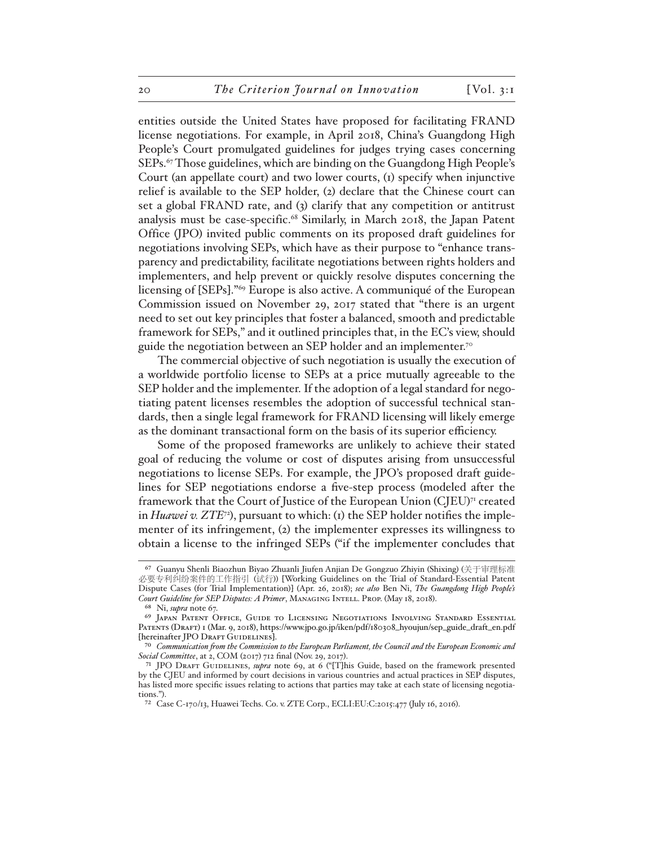entities outside the United States have proposed for facilitating FRAND license negotiations. For example, in April 2018, China's Guangdong High People's Court promulgated guidelines for judges trying cases concerning SEPs.<sup>67</sup> Those guidelines, which are binding on the Guangdong High People's Court (an appellate court) and two lower courts, (1) specify when injunctive relief is available to the SEP holder, (2) declare that the Chinese court can set a global FRAND rate, and (3) clarify that any competition or antitrust analysis must be case-specific.68 Similarly, in March 2018, the Japan Patent Office (JPO) invited public comments on its proposed draft guidelines for negotiations involving SEPs, which have as their purpose to "enhance transparency and predictability, facilitate negotiations between rights holders and implementers, and help prevent or quickly resolve disputes concerning the licensing of [SEPs]."69 Europe is also active. A communiqué of the European Commission issued on November 29, 2017 stated that "there is an urgent need to set out key principles that foster a balanced, smooth and predictable framework for SEPs," and it outlined principles that, in the EC's view, should guide the negotiation between an SEP holder and an implementer.<sup>70</sup>

The commercial objective of such negotiation is usually the execution of a worldwide portfolio license to SEPs at a price mutually agreeable to the SEP holder and the implementer. If the adoption of a legal standard for negotiating patent licenses resembles the adoption of successful technical standards, then a single legal framework for FRAND licensing will likely emerge as the dominant transactional form on the basis of its superior efficiency.

Some of the proposed frameworks are unlikely to achieve their stated goal of reducing the volume or cost of disputes arising from unsuccessful negotiations to license SEPs. For example, the JPO's proposed draft guidelines for SEP negotiations endorse a five-step process (modeled after the framework that the Court of Justice of the European Union (CJEU)71 created in *Huawei v. ZTE*72), pursuant to which: (1) the SEP holder notifies the implementer of its infringement, (2) the implementer expresses its willingness to obtain a license to the infringed SEPs ("if the implementer concludes that

<sup>67</sup> Guanyu Shenli Biaozhun Biyao Zhuanli Jiufen Anjian De Gongzuo Zhiyin (Shixing) (关于审理标准 必要专利纠纷案件的工作指引 (试行)) [Working Guidelines on the Trial of Standard-Essential Patent Dispute Cases (for Trial Implementation)] (Apr. 26, 2018); *see also* Ben Ni, *The Guangdong High People's Court Guideline for SEP Disputes: A Primer*, Managing Intell. Prop. (May 18, 2018).

<sup>68</sup> Ni, *supra* note 67.

<sup>69</sup> Japan Patent Office, Guide to Licensing Negotiations Involving Standard Essential Patents (Draft) 1 (Mar. 9, 2018), https://www.jpo.go.jp/iken/pdf/180308\_hyoujun/sep\_guide\_draft\_en.pdf [hereinafter JPO DRAFT GUIDELINES].

<sup>70</sup> *Communication from the Commission to the European Parliament, the Council and the European Economic and Social Committee*, at 2, COM (2017) 712 final (Nov. 29, 2017).

<sup>71</sup> JPO Draft Guidelines, *supra* note 69, at 6 ("[T]his Guide, based on the framework presented by the CJEU and informed by court decisions in various countries and actual practices in SEP disputes, has listed more specific issues relating to actions that parties may take at each state of licensing negotiations.").

<sup>72</sup> Case C-170/13, Huawei Techs. Co. v. ZTE Corp., ECLI:EU:C:2015:477 (July 16, 2016).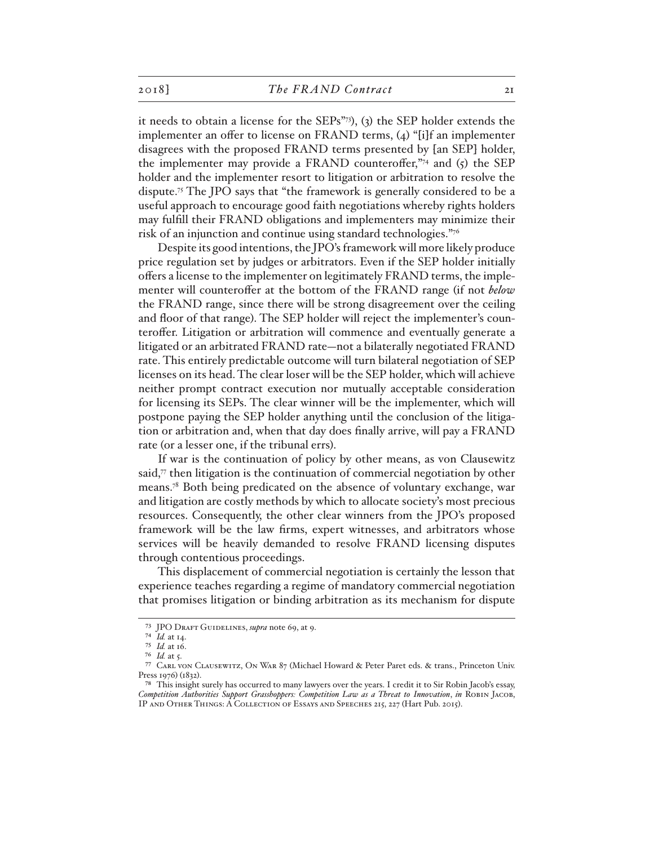it needs to obtain a license for the SEPs"73), (3) the SEP holder extends the implementer an offer to license on FRAND terms, (4) "[i]f an implementer disagrees with the proposed FRAND terms presented by [an SEP] holder, the implementer may provide a FRAND counteroffer," $\frac{1}{4}$  and (5) the SEP holder and the implementer resort to litigation or arbitration to resolve the dispute.75 The JPO says that "the framework is generally considered to be a useful approach to encourage good faith negotiations whereby rights holders may fulfill their FRAND obligations and implementers may minimize their risk of an injunction and continue using standard technologies."76

Despite its good intentions, the JPO's framework will more likely produce price regulation set by judges or arbitrators. Even if the SEP holder initially offers a license to the implementer on legitimately FRAND terms, the implementer will counteroffer at the bottom of the FRAND range (if not *below* the FRAND range, since there will be strong disagreement over the ceiling and floor of that range). The SEP holder will reject the implementer's counteroffer. Litigation or arbitration will commence and eventually generate a litigated or an arbitrated FRAND rate—not a bilaterally negotiated FRAND rate. This entirely predictable outcome will turn bilateral negotiation of SEP licenses on its head. The clear loser will be the SEP holder, which will achieve neither prompt contract execution nor mutually acceptable consideration for licensing its SEPs. The clear winner will be the implementer, which will postpone paying the SEP holder anything until the conclusion of the litigation or arbitration and, when that day does finally arrive, will pay a FRAND rate (or a lesser one, if the tribunal errs).

If war is the continuation of policy by other means, as von Clausewitz said,77 then litigation is the continuation of commercial negotiation by other means.78 Both being predicated on the absence of voluntary exchange, war and litigation are costly methods by which to allocate society's most precious resources. Consequently, the other clear winners from the JPO's proposed framework will be the law firms, expert witnesses, and arbitrators whose services will be heavily demanded to resolve FRAND licensing disputes through contentious proceedings.

This displacement of commercial negotiation is certainly the lesson that experience teaches regarding a regime of mandatory commercial negotiation that promises litigation or binding arbitration as its mechanism for dispute

<sup>73</sup> JPO Draft Guidelines, *supra* note 69, at 9.

<sup>74</sup> *Id.* at 14.

<sup>75</sup> *Id.* at 16.

<sup>76</sup> *Id.* at 5.

<sup>77</sup> Carl von Clausewitz, On War 87 (Michael Howard & Peter Paret eds. & trans., Princeton Univ. Press 1976) (1832).

<sup>78</sup> This insight surely has occurred to many lawyers over the years. I credit it to Sir Robin Jacob's essay, *Competition Authorities Support Grasshoppers: Competition Law as a Threat to Innovation*, *in* Robin Jacob, IP and Other Things: A Collection of Essays and Speeches 215, 227 (Hart Pub. 2015).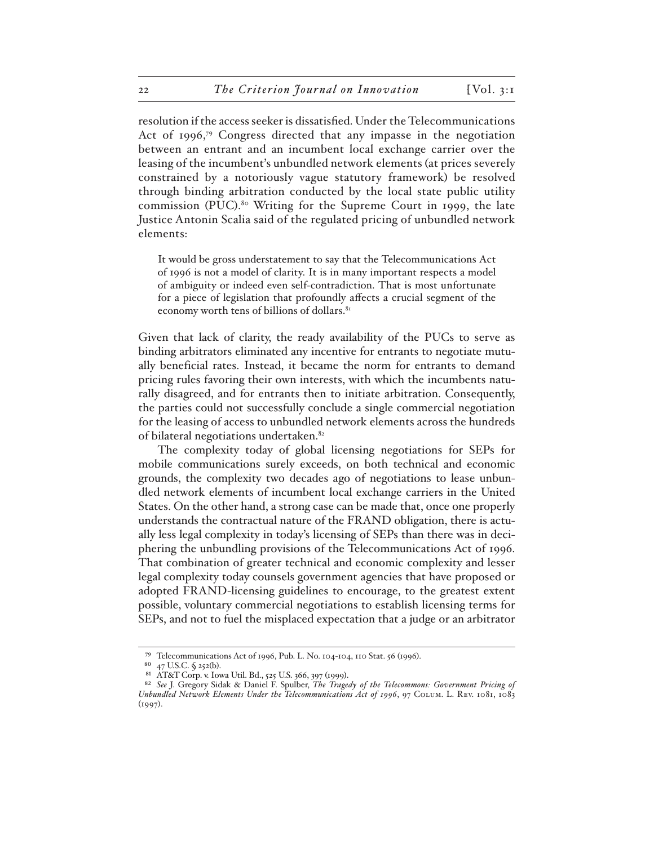resolution if the access seeker is dissatisfied. Under the Telecommunications Act of 1996,79 Congress directed that any impasse in the negotiation between an entrant and an incumbent local exchange carrier over the leasing of the incumbent's unbundled network elements (at prices severely constrained by a notoriously vague statutory framework) be resolved through binding arbitration conducted by the local state public utility commission (PUC).<sup>80</sup> Writing for the Supreme Court in 1999, the late Justice Antonin Scalia said of the regulated pricing of unbundled network elements:

It would be gross understatement to say that the Telecommunications Act of 1996 is not a model of clarity. It is in many important respects a model of ambiguity or indeed even self-contradiction. That is most unfortunate for a piece of legislation that profoundly affects a crucial segment of the economy worth tens of billions of dollars.<sup>81</sup>

Given that lack of clarity, the ready availability of the PUCs to serve as binding arbitrators eliminated any incentive for entrants to negotiate mutually beneficial rates. Instead, it became the norm for entrants to demand pricing rules favoring their own interests, with which the incumbents naturally disagreed, and for entrants then to initiate arbitration. Consequently, the parties could not successfully conclude a single commercial negotiation for the leasing of access to unbundled network elements across the hundreds of bilateral negotiations undertaken.82

The complexity today of global licensing negotiations for SEPs for mobile communications surely exceeds, on both technical and economic grounds, the complexity two decades ago of negotiations to lease unbundled network elements of incumbent local exchange carriers in the United States. On the other hand, a strong case can be made that, once one properly understands the contractual nature of the FRAND obligation, there is actually less legal complexity in today's licensing of SEPs than there was in deciphering the unbundling provisions of the Telecommunications Act of 1996. That combination of greater technical and economic complexity and lesser legal complexity today counsels government agencies that have proposed or adopted FRAND-licensing guidelines to encourage, to the greatest extent possible, voluntary commercial negotiations to establish licensing terms for SEPs, and not to fuel the misplaced expectation that a judge or an arbitrator

<sup>79</sup> Telecommunications Act of 1996, Pub. L. No. 104-104, 110 Stat. 56 (1996).<br>80  $_{47}$  IIS C § 252(b)

<sup>47</sup> U.S.C. § 252(b).

<sup>81</sup> AT&T Corp. v. Iowa Util. Bd., 525 U.S. 366, 397 (1999).

<sup>82</sup> *See* J. Gregory Sidak & Daniel F. Spulber, *The Tragedy of the Telecommons: Government Pricing of Unbundled Network Elements Under the Telecommunications Act of 1996*, 97 Colum. L. Rev. 1081, 1083 (1997).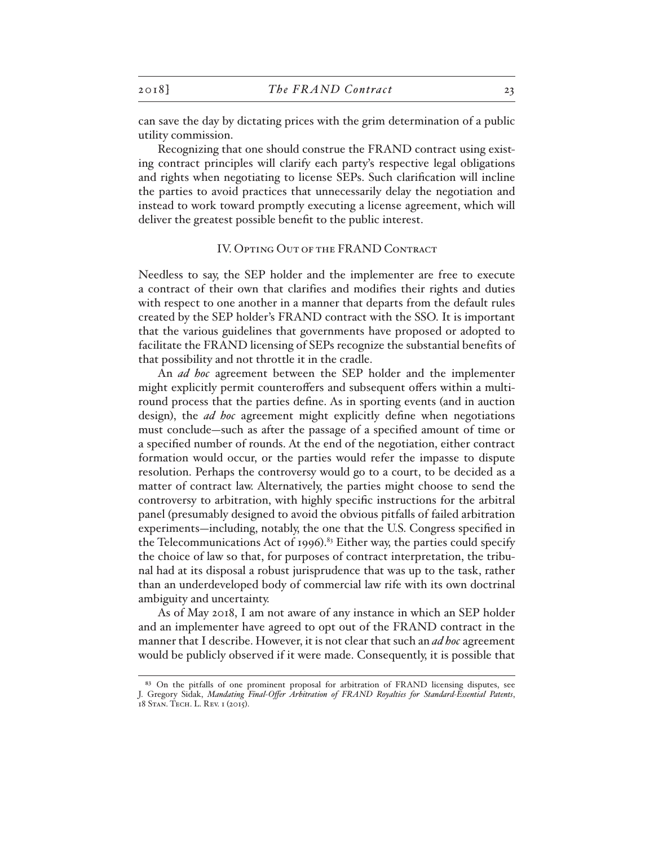can save the day by dictating prices with the grim determination of a public utility commission.

Recognizing that one should construe the FRAND contract using existing contract principles will clarify each party's respective legal obligations and rights when negotiating to license SEPs. Such clarification will incline the parties to avoid practices that unnecessarily delay the negotiation and instead to work toward promptly executing a license agreement, which will deliver the greatest possible benefit to the public interest.

#### IV. Opting Out of the FRAND Contract

Needless to say, the SEP holder and the implementer are free to execute a contract of their own that clarifies and modifies their rights and duties with respect to one another in a manner that departs from the default rules created by the SEP holder's FRAND contract with the SSO. It is important that the various guidelines that governments have proposed or adopted to facilitate the FRAND licensing of SEPs recognize the substantial benefits of that possibility and not throttle it in the cradle.

An *ad hoc* agreement between the SEP holder and the implementer might explicitly permit counteroffers and subsequent offers within a multiround process that the parties define. As in sporting events (and in auction design), the *ad hoc* agreement might explicitly define when negotiations must conclude—such as after the passage of a specified amount of time or a specified number of rounds. At the end of the negotiation, either contract formation would occur, or the parties would refer the impasse to dispute resolution. Perhaps the controversy would go to a court, to be decided as a matter of contract law. Alternatively, the parties might choose to send the controversy to arbitration, with highly specific instructions for the arbitral panel (presumably designed to avoid the obvious pitfalls of failed arbitration experiments—including, notably, the one that the U.S. Congress specified in the Telecommunications Act of 1996).<sup>83</sup> Either way, the parties could specify the choice of law so that, for purposes of contract interpretation, the tribunal had at its disposal a robust jurisprudence that was up to the task, rather than an underdeveloped body of commercial law rife with its own doctrinal ambiguity and uncertainty.

As of May 2018, I am not aware of any instance in which an SEP holder and an implementer have agreed to opt out of the FRAND contract in the manner that I describe. However, it is not clear that such an *ad hoc* agreement would be publicly observed if it were made. Consequently, it is possible that

<sup>83</sup> On the pitfalls of one prominent proposal for arbitration of FRAND licensing disputes, see J. Gregory Sidak, *Mandating Final-Offer Arbitration of FRAND Royalties for Standard-Essential Patents*, 18 Stan. Tech. L. Rev. 1 (2015).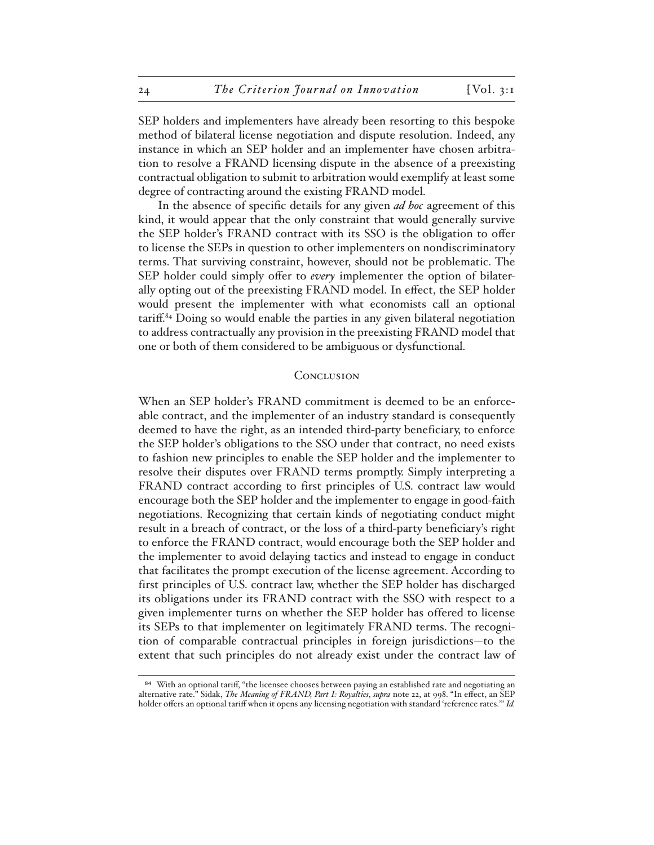SEP holders and implementers have already been resorting to this bespoke method of bilateral license negotiation and dispute resolution. Indeed, any instance in which an SEP holder and an implementer have chosen arbitration to resolve a FRAND licensing dispute in the absence of a preexisting contractual obligation to submit to arbitration would exemplify at least some degree of contracting around the existing FRAND model.

In the absence of specific details for any given *ad hoc* agreement of this kind, it would appear that the only constraint that would generally survive the SEP holder's FRAND contract with its SSO is the obligation to offer to license the SEPs in question to other implementers on nondiscriminatory terms. That surviving constraint, however, should not be problematic. The SEP holder could simply offer to *every* implementer the option of bilaterally opting out of the preexisting FRAND model. In effect, the SEP holder would present the implementer with what economists call an optional tariff.84 Doing so would enable the parties in any given bilateral negotiation to address contractually any provision in the preexisting FRAND model that one or both of them considered to be ambiguous or dysfunctional.

# **CONCLUSION**

When an SEP holder's FRAND commitment is deemed to be an enforceable contract, and the implementer of an industry standard is consequently deemed to have the right, as an intended third-party beneficiary, to enforce the SEP holder's obligations to the SSO under that contract, no need exists to fashion new principles to enable the SEP holder and the implementer to resolve their disputes over FRAND terms promptly. Simply interpreting a FRAND contract according to first principles of U.S. contract law would encourage both the SEP holder and the implementer to engage in good-faith negotiations. Recognizing that certain kinds of negotiating conduct might result in a breach of contract, or the loss of a third-party beneficiary's right to enforce the FRAND contract, would encourage both the SEP holder and the implementer to avoid delaying tactics and instead to engage in conduct that facilitates the prompt execution of the license agreement. According to first principles of U.S. contract law, whether the SEP holder has discharged its obligations under its FRAND contract with the SSO with respect to a given implementer turns on whether the SEP holder has offered to license its SEPs to that implementer on legitimately FRAND terms. The recognition of comparable contractual principles in foreign jurisdictions—to the extent that such principles do not already exist under the contract law of

<sup>84</sup> With an optional tariff, "the licensee chooses between paying an established rate and negotiating an alternative rate." Sidak, *The Meaning of FRAND, Part I: Royalties*, *supra* note 22, at 998. "In effect, an SEP holder offers an optional tariff when it opens any licensing negotiation with standard 'reference rates.'" *Id.*